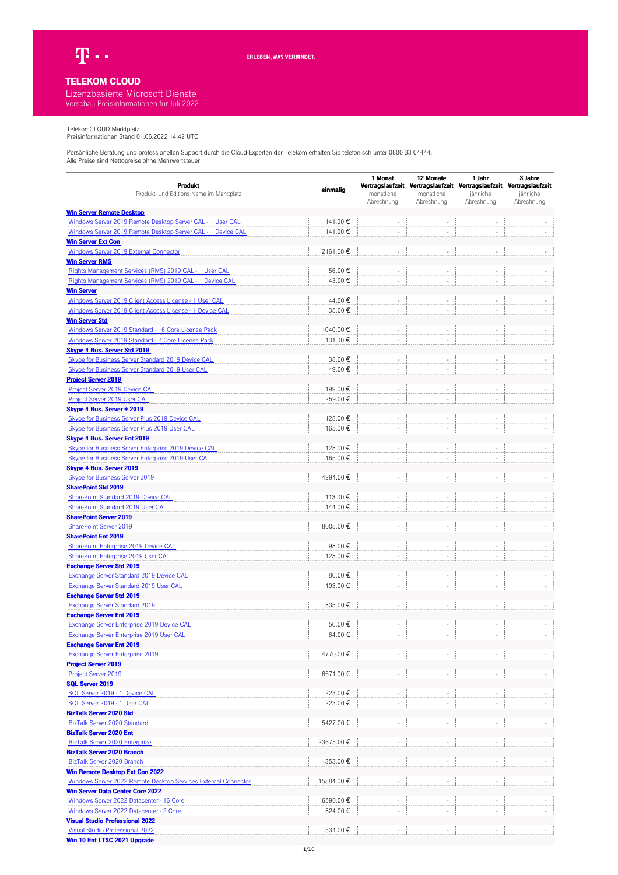

## **TELEKOM CLOUD**

## Lizenzbasierte Microsoft Dienste Vorschau Preisinformationen für Juli 2022

TelekomCLOUD Marktplatz Preisinformationen Stand 01.06.2022 14:42 UTC

| Produkt                                                                          |           | 1 Monat    | 12 Monate  | 1 Jahr                                                                           | 3 Jahre    |
|----------------------------------------------------------------------------------|-----------|------------|------------|----------------------------------------------------------------------------------|------------|
| Produkt- und Editions Name im Marktplatz                                         | einmalig  | monatliche | monatliche | Vertragslaufzeit Vertragslaufzeit Vertragslaufzeit Vertragslaufzeit<br>jährliche | jährliche  |
|                                                                                  |           | Abrechnung | Abrechnung | Abrechnung                                                                       | Abrechnung |
| <b>Win Server Remote Desktop</b>                                                 |           |            |            |                                                                                  |            |
| Windows Server 2019 Remote Desktop Server CAL - 1 User CAL                       | 141.00€   |            |            |                                                                                  |            |
| Windows Server 2019 Remote Desktop Server CAL - 1 Device CAL                     | 141.00€   |            |            |                                                                                  |            |
| <b>Win Server Ext Con</b>                                                        |           |            |            |                                                                                  |            |
| Windows Server 2019 External Connector                                           | 2161.00€  |            |            |                                                                                  |            |
| <b>Win Server RMS</b>                                                            |           |            |            |                                                                                  |            |
| Rights Management Services (RMS) 2019 CAL - 1 User CAL                           | 56.00€    |            | ÷,         | ÷,                                                                               |            |
| Rights Management Services (RMS) 2019 CAL - 1 Device CAL                         | 43.00€    | ÷.         | ÷.         |                                                                                  |            |
| <b>Win Server</b>                                                                |           |            |            |                                                                                  |            |
| Windows Server 2019 Client Access License - 1 User CAL                           | 44.00€    |            |            |                                                                                  |            |
| Windows Server 2019 Client Access License - 1 Device CAL                         | 35.00€    |            | ÷,         |                                                                                  |            |
| <b>Win Server Std</b>                                                            |           |            |            |                                                                                  |            |
| Windows Server 2019 Standard - 16 Core License Pack                              | 1040.00€  |            |            |                                                                                  |            |
| Windows Server 2019 Standard - 2 Core License Pack                               | 131.00€   |            |            |                                                                                  |            |
| <b>Skype 4 Bus. Server Std 2019</b>                                              |           |            |            |                                                                                  |            |
| Skype for Business Server Standard 2019 Device CAL                               | 38.00€    |            | ÷.         |                                                                                  |            |
| Skype for Business Server Standard 2019 User CAL                                 | 49.00€    |            |            |                                                                                  |            |
| <b>Project Server 2019</b>                                                       |           |            |            |                                                                                  |            |
| Project Server 2019 Device CAL                                                   | 199.00€   | $\sim$     | ÷,         | $\sim$                                                                           |            |
| Project Server 2019 User CAL                                                     | 259.00€   | $\sim$     | ÷,         | $\sim$                                                                           |            |
|                                                                                  |           |            |            |                                                                                  |            |
| Skype 4 Bus. Server + 2019                                                       | 128.00€   |            |            |                                                                                  |            |
| <b>Skype for Business Server Plus 2019 Device CAL</b>                            |           |            |            |                                                                                  |            |
| Skype for Business Server Plus 2019 User CAL                                     | 165.00€   |            |            |                                                                                  |            |
| Skype 4 Bus. Server Ent 2019                                                     |           |            |            |                                                                                  |            |
| Skype for Business Server Enterprise 2019 Device CAL                             | 128.00€   |            |            |                                                                                  |            |
| <b>Skype for Business Server Enterprise 2019 User CAL</b>                        | 165.00€   |            |            |                                                                                  |            |
| <b>Skype 4 Bus. Server 2019</b>                                                  |           |            |            |                                                                                  |            |
| <b>Skype for Business Server 2019</b>                                            | 4294.00€  |            |            |                                                                                  |            |
| <b>SharePoint Std 2019</b>                                                       |           |            |            |                                                                                  |            |
| SharePoint Standard 2019 Device CAL                                              | 113.00€   |            |            |                                                                                  |            |
| SharePoint Standard 2019 User CAL                                                | 144.00€   |            |            |                                                                                  |            |
| <b>SharePoint Server 2019</b>                                                    |           |            |            |                                                                                  |            |
| <b>SharePoint Server 2019</b>                                                    | 8005.00€  |            | ÷,         |                                                                                  |            |
| <b>SharePoint Ent 2019</b>                                                       |           |            |            |                                                                                  |            |
| SharePoint Enterprise 2019 Device CAL                                            | 98.00€    |            | ÷,         |                                                                                  |            |
| SharePoint Enterprise 2019 User CAL                                              | 128.00€   |            |            |                                                                                  |            |
| <b>Exchange Server Std 2019</b>                                                  |           |            |            |                                                                                  |            |
| <b>Exchange Server Standard 2019 Device CAL</b>                                  | 80.00€    |            |            |                                                                                  |            |
| Exchange Server Standard 2019 User CAL                                           | 103.00€   | $\sim$     | ÷.         | $\sim$                                                                           |            |
| <b>Exchange Server Std 2019</b>                                                  |           |            |            |                                                                                  |            |
| <b>Exchange Server Standard 2019</b>                                             | 835.00€   |            |            |                                                                                  |            |
| <b>Exchange Server Ent 2019</b>                                                  |           |            |            |                                                                                  |            |
| Exchange Server Enterprise 2019 Device CAL                                       | 50.00€    |            |            |                                                                                  |            |
| <b>Exchange Server Enterprise 2019 User CAL</b>                                  | 64.00€    |            |            |                                                                                  |            |
| <b>Exchange Server Ent 2019</b>                                                  |           |            |            |                                                                                  |            |
| <b>Exchange Server Enterprise 2019</b>                                           | 4770.00€  |            |            |                                                                                  |            |
| <b>Project Server 2019</b>                                                       |           |            |            |                                                                                  |            |
| <b>Project Server 2019</b>                                                       | 6671.00€  |            |            |                                                                                  |            |
| <b>SQL Server 2019</b>                                                           |           |            |            |                                                                                  |            |
| SQL Server 2019 - 1 Device CAL                                                   | 223.00€   |            |            |                                                                                  |            |
| SQL Server 2019 - 1 User CAL                                                     | 223.00€   |            |            |                                                                                  |            |
| <b>BizTalk Server 2020 Std</b>                                                   |           |            |            |                                                                                  |            |
| BizTalk Server 2020 Standard                                                     | 5427.00€  |            |            |                                                                                  |            |
| <b>BizTalk Server 2020 Ent</b>                                                   |           |            |            |                                                                                  |            |
| <b>BizTalk Server 2020 Enterprise</b>                                            | 23675.00€ |            |            |                                                                                  |            |
| <b>BizTalk Server 2020 Branch</b>                                                |           |            |            |                                                                                  |            |
| BizTalk Server 2020 Branch                                                       | 1353.00€  |            |            |                                                                                  |            |
| <b>Win Remote Desktop Ext Con 2022</b>                                           |           |            |            |                                                                                  |            |
| Windows Server 2022 Remote Desktop Services External Connector                   | 15584.00€ |            |            |                                                                                  |            |
| <b>Win Server Data Center Core 2022</b>                                          |           |            |            |                                                                                  |            |
| Windows Server 2022 Datacenter - 16 Core                                         | 6590.00€  |            |            |                                                                                  |            |
|                                                                                  | 824.00€   |            | ×,         | ÷,                                                                               |            |
| Windows Server 2022 Datacenter - 2 Core                                          |           |            |            |                                                                                  |            |
| <b>Visual Studio Professional 2022</b><br><b>Visual Studio Professional 2022</b> | 534.00€   |            |            |                                                                                  |            |
|                                                                                  |           |            |            |                                                                                  |            |
| Win 10 Ent LTSC 2021 Upgrade                                                     |           |            |            |                                                                                  |            |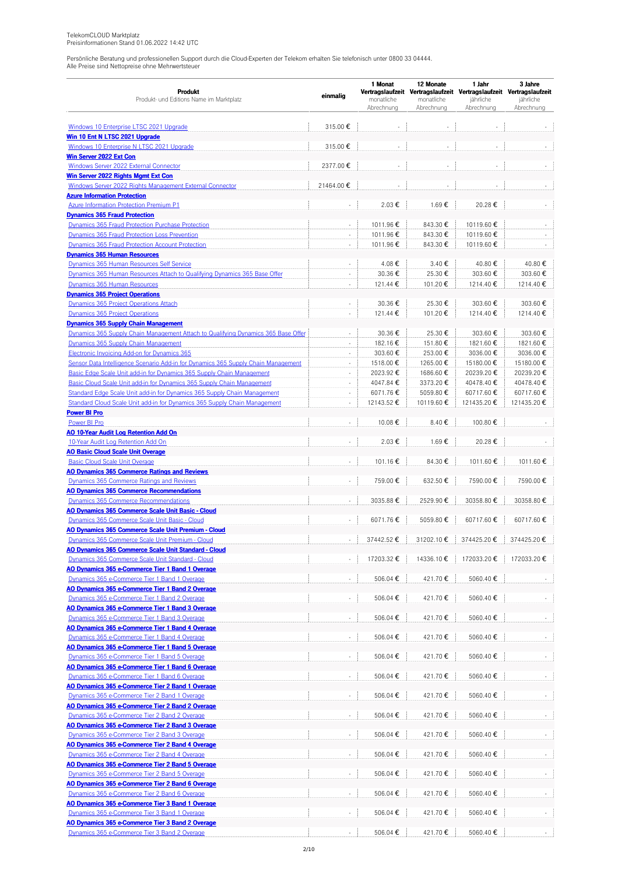|                                                                                                   |                          | 1 Monat                  | 12 Monate                | 1 Jahr                                                              | 3 Jahre                 |  |
|---------------------------------------------------------------------------------------------------|--------------------------|--------------------------|--------------------------|---------------------------------------------------------------------|-------------------------|--|
| <b>Produkt</b>                                                                                    | einmalig                 |                          |                          | Vertragslaufzeit Vertragslaufzeit Vertragslaufzeit Vertragslaufzeit |                         |  |
| Produkt- und Editions Name im Marktplatz                                                          |                          | monatliche<br>Abrechnung | monatliche<br>Abrechnung | jährliche<br>Abrechnung                                             | jährliche<br>Abrechnung |  |
|                                                                                                   |                          |                          |                          |                                                                     |                         |  |
| Windows 10 Enterprise LTSC 2021 Upgrade                                                           | 315.00€                  |                          | ä,                       |                                                                     |                         |  |
| Win 10 Ent N LTSC 2021 Upgrade                                                                    |                          |                          |                          |                                                                     |                         |  |
| Windows 10 Enterprise N LTSC 2021 Upgrade                                                         | 315.00€                  | $\sim$                   | $\overline{\phantom{a}}$ |                                                                     |                         |  |
| Win Server 2022 Ext Con                                                                           |                          |                          |                          |                                                                     |                         |  |
| Windows Server 2022 External Connector                                                            | 2377.00€                 | $\sim$                   | $\sim$                   | $\sim$                                                              |                         |  |
| Win Server 2022 Rights Mgmt Ext Con                                                               |                          |                          |                          |                                                                     |                         |  |
| Windows Server 2022 Rights Management External Connector                                          | 21464.00€                |                          |                          |                                                                     |                         |  |
| <b>Azure Information Protection</b>                                                               |                          |                          |                          |                                                                     |                         |  |
| <b>Azure Information Protection Premium P1</b>                                                    |                          | 2.03€                    | 1.69€                    | 20.28€                                                              |                         |  |
| <b>Dynamics 365 Fraud Protection</b>                                                              |                          |                          |                          |                                                                     |                         |  |
| Dynamics 365 Fraud Protection Purchase Protection                                                 | ÷.                       | 1011.96€                 | 843.30€                  | 10119.60€                                                           |                         |  |
| Dynamics 365 Fraud Protection Loss Prevention                                                     | ä,                       | 1011.96€                 | 843.30€                  | 10119.60€                                                           |                         |  |
| Dynamics 365 Fraud Protection Account Protection                                                  | ÷,                       | 1011.96€                 | 843.30€                  | 10119.60€                                                           |                         |  |
| <b>Dynamics 365 Human Resources</b>                                                               |                          |                          |                          |                                                                     |                         |  |
| Dynamics 365 Human Resources Self Service                                                         | ä,                       | 4.08€                    | 3.40€                    | 40.80€                                                              | 40.80€                  |  |
| Dynamics 365 Human Resources Attach to Qualifying Dynamics 365 Base Offer                         | $\blacksquare$           | 30.36€                   | 25.30€                   | 303.60€                                                             | 303.60€                 |  |
| Dynamics 365 Human Resources                                                                      | ÷,                       | 121.44 €                 | 101.20€                  | 1214.40€                                                            | 1214.40€                |  |
| <b>Dynamics 365 Project Operations</b>                                                            |                          |                          |                          |                                                                     |                         |  |
| Dynamics 365 Project Operations Attach                                                            | $\overline{\phantom{a}}$ | 30.36€                   | 25.30€                   | 303.60€                                                             | 303.60€                 |  |
| Dynamics 365 Project Operations                                                                   | ä,                       | 121.44 €                 | 101.20€                  | 1214.40€                                                            | 1214.40€                |  |
| <b>Dynamics 365 Supply Chain Management</b>                                                       |                          |                          |                          |                                                                     |                         |  |
| Dynamics 365 Supply Chain Management Attach to Qualifying Dynamics 365 Base Offer                 | ÷,                       | 30.36€                   | 25.30€                   | 303.60€                                                             | 303.60€                 |  |
| Dynamics 365 Supply Chain Management                                                              | $\overline{\phantom{a}}$ | 182.16€                  | 151.80€                  | 1821.60€                                                            | 1821.60€                |  |
| Electronic Invoicing Add-on for Dynamics 365                                                      | $\sim$                   | 303.60€                  | 253.00€                  | 3036.00€                                                            | 3036.00€                |  |
| Sensor Data Intelligence Scenario Add-in for Dynamics 365 Supply Chain Management                 | ÷,                       | 1518.00€                 | 1265.00€                 | 15180.00€                                                           | 15180.00€               |  |
| Basic Edge Scale Unit add-in for Dynamics 365 Supply Chain Management                             | $\sim$                   | 2023.92€                 | 1686.60€                 | 20239.20€                                                           | 20239.20€               |  |
| Basic Cloud Scale Unit add-in for Dynamics 365 Supply Chain Management                            | $\overline{\phantom{a}}$ | 4047.84€                 | 3373.20€                 | 40478.40€                                                           | 40478.40€               |  |
| Standard Edge Scale Unit add-in for Dynamics 365 Supply Chain Management                          | ä,                       | 6071.76€                 | 5059.80€                 | 60717.60€                                                           | 60717.60€               |  |
| Standard Cloud Scale Unit add-in for Dynamics 365 Supply Chain Management                         | $\overline{\phantom{a}}$ | 12143.52 €               | 10119.60€                | 121435.20€                                                          | 121435.20€              |  |
| <b>Power BI Pro</b>                                                                               |                          |                          |                          |                                                                     |                         |  |
| Power BI Pro                                                                                      | $\bar{a}$                | 10.08€                   | 8.40€                    | 100.80€                                                             |                         |  |
| AO 10-Year Audit Log Retention Add On                                                             |                          | 2.03€                    | 1.69€                    | 20.28€                                                              |                         |  |
| 10-Year Audit Log Retention Add On<br><b>AO Basic Cloud Scale Unit Overage</b>                    | $\overline{\phantom{a}}$ |                          |                          |                                                                     |                         |  |
| <b>Basic Cloud Scale Unit Overage</b>                                                             | $\omega$                 | 101.16€                  | 84.30€                   | 1011.60€                                                            | 1011.60€                |  |
| <b>AO Dynamics 365 Commerce Ratings and Reviews</b>                                               |                          |                          |                          |                                                                     |                         |  |
| Dynamics 365 Commerce Ratings and Reviews                                                         | $\omega$                 | 759.00€                  | 632.50€                  | 7590.00€                                                            | 7590.00€                |  |
| <b>AO Dynamics 365 Commerce Recommendations</b>                                                   |                          |                          |                          |                                                                     |                         |  |
| <b>Dynamics 365 Commerce Recommendations</b>                                                      |                          | 3035.88€                 | 2529.90€                 | 30358.80€                                                           | 30358.80€               |  |
| AO Dynamics 365 Commerce Scale Unit Basic - Cloud                                                 |                          |                          |                          |                                                                     |                         |  |
| Dynamics 365 Commerce Scale Unit Basic - Cloud                                                    |                          | 6071.76€                 | 5059.80€                 | 60717.60€                                                           | 60717.60€               |  |
| <b>AO Dynamics 365 Commerce Scale Unit Premium - Cloud</b>                                        |                          |                          |                          |                                                                     |                         |  |
| Dynamics 365 Commerce Scale Unit Premium - Cloud                                                  |                          | 37442.52€                | 31202.10€                | 374425.20€                                                          | 374425.20€              |  |
| <b>AO Dynamics 365 Commerce Scale Unit Standard - Cloud</b>                                       |                          |                          |                          |                                                                     |                         |  |
| Dynamics 365 Commerce Scale Unit Standard - Cloud                                                 |                          | 17203.32 €               | 14336.10€                | 172033.20€                                                          | 172033.20€              |  |
| AO Dynamics 365 e-Commerce Tier 1 Band 1 Overage                                                  |                          |                          |                          |                                                                     |                         |  |
| Dynamics 365 e-Commerce Tier 1 Band 1 Overage                                                     | $\omega$                 | 506.04€                  | 421.70€                  | 5060.40€                                                            |                         |  |
| AO Dynamics 365 e-Commerce Tier 1 Band 2 Overage                                                  |                          |                          |                          |                                                                     |                         |  |
| Dynamics 365 e-Commerce Tier 1 Band 2 Overage                                                     | $\sim$                   | 506.04 €                 | 421.70€                  | 5060.40€                                                            |                         |  |
| AO Dynamics 365 e-Commerce Tier 1 Band 3 Overage                                                  |                          |                          |                          |                                                                     |                         |  |
| Dynamics 365 e-Commerce Tier 1 Band 3 Overage                                                     | $\omega$                 | 506.04 €                 | 421.70€                  | 5060.40€                                                            |                         |  |
| AO Dynamics 365 e-Commerce Tier 1 Band 4 Overage                                                  |                          |                          |                          |                                                                     |                         |  |
| Dynamics 365 e-Commerce Tier 1 Band 4 Overage                                                     | ÷                        | 506.04€                  | 421.70€                  | 5060.40€                                                            |                         |  |
| AO Dynamics 365 e-Commerce Tier 1 Band 5 Overage                                                  |                          |                          |                          |                                                                     |                         |  |
| Dynamics 365 e-Commerce Tier 1 Band 5 Overage                                                     | ä,                       | 506.04€                  | 421.70€                  | 5060.40€                                                            |                         |  |
| <u>AO Dynamics 365 e-Commerce Tier 1 Band 6 Overage</u>                                           |                          |                          |                          |                                                                     |                         |  |
| Dynamics 365 e-Commerce Tier 1 Band 6 Overage                                                     | $\sim$                   | 506.04€                  | 421.70€                  | 5060.40€                                                            |                         |  |
| AO Dynamics 365 e-Commerce Tier 2 Band 1 Overage                                                  |                          |                          |                          |                                                                     |                         |  |
| Dynamics 365 e-Commerce Tier 2 Band 1 Overage                                                     | $\Box$                   | 506.04 €                 | 421.70€                  | 5060.40€                                                            |                         |  |
| <b>AO Dynamics 365 e-Commerce Tier 2 Band 2 Overage</b>                                           |                          |                          |                          |                                                                     |                         |  |
| Dynamics 365 e-Commerce Tier 2 Band 2 Overage                                                     | $\overline{\phantom{a}}$ | 506.04€                  | 421.70€                  | 5060.40€                                                            |                         |  |
| AO Dynamics 365 e-Commerce Tier 2 Band 3 Overage                                                  |                          |                          |                          |                                                                     |                         |  |
| Dynamics 365 e-Commerce Tier 2 Band 3 Overage                                                     | ÷,                       | 506.04 €                 | 421.70€                  | 5060.40€                                                            |                         |  |
| AO Dynamics 365 e-Commerce Tier 2 Band 4 Overage                                                  |                          |                          |                          |                                                                     |                         |  |
| Dynamics 365 e-Commerce Tier 2 Band 4 Overage                                                     | $\overline{\phantom{a}}$ | 506.04 €                 | 421.70€                  | 5060.40€                                                            |                         |  |
| AO Dynamics 365 e-Commerce Tier 2 Band 5 Overage                                                  |                          |                          |                          |                                                                     |                         |  |
| Dynamics 365 e-Commerce Tier 2 Band 5 Overage                                                     | $\overline{\phantom{a}}$ | 506.04€                  | 421.70€                  | 5060.40€                                                            |                         |  |
| AO Dynamics 365 e-Commerce Tier 2 Band 6 Overage                                                  |                          |                          |                          |                                                                     |                         |  |
| Dynamics 365 e-Commerce Tier 2 Band 6 Overage                                                     |                          | 506.04 €                 | 421.70€                  | 5060.40€                                                            |                         |  |
| AO Dynamics 365 e-Commerce Tier 3 Band 1 Overage                                                  |                          |                          |                          |                                                                     |                         |  |
| Dynamics 365 e-Commerce Tier 3 Band 1 Overage                                                     | ÷                        | 506.04 €                 | 421.70€                  | 5060.40€                                                            |                         |  |
| AO Dynamics 365 e-Commerce Tier 3 Band 2 Overage<br>Dynamics 365 e-Commerce Tier 3 Band 2 Overage |                          | 506.04 €                 | 421.70€                  | 5060.40€                                                            |                         |  |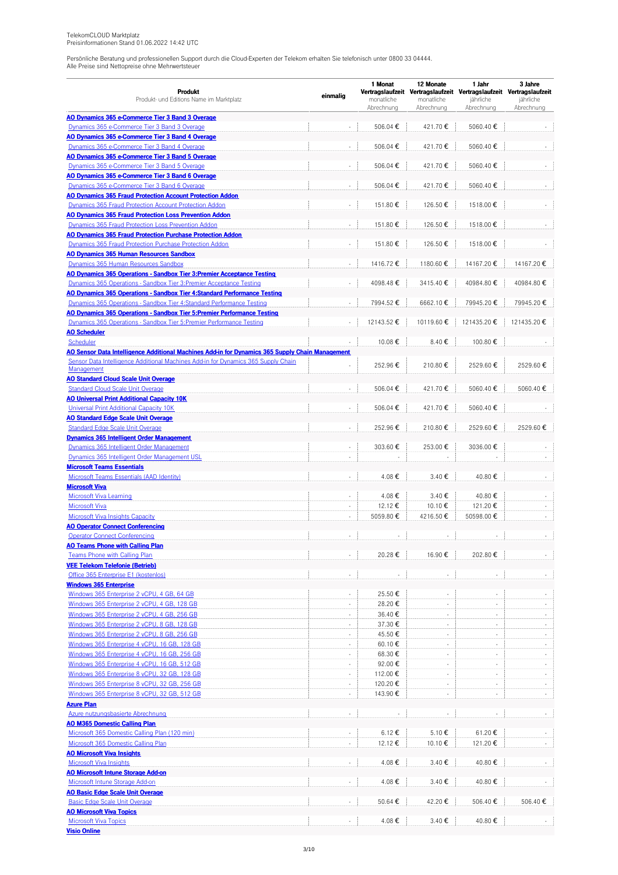| Produkt<br>Produkt- und Editions Name im Marktplatz                                                                                                                                  | einmalig                    | 1 Monat<br>monatliche<br>Abrechnung | 12 Monate<br>monatliche<br>Abrechnung | 1 Jahr<br>Vertragslaufzeit Vertragslaufzeit Vertragslaufzeit Vertragslaufzeit<br>jährliche<br>Abrechnung | 3 Jahre<br>jährliche<br>Abrechnung |
|--------------------------------------------------------------------------------------------------------------------------------------------------------------------------------------|-----------------------------|-------------------------------------|---------------------------------------|----------------------------------------------------------------------------------------------------------|------------------------------------|
| <b>AO Dynamics 365 e-Commerce Tier 3 Band 3 Overage</b>                                                                                                                              |                             |                                     |                                       |                                                                                                          |                                    |
| Dynamics 365 e-Commerce Tier 3 Band 3 Overage                                                                                                                                        |                             | 506.04€                             | 421.70€                               | 5060.40€                                                                                                 |                                    |
| AO Dynamics 365 e-Commerce Tier 3 Band 4 Overage                                                                                                                                     | ä,                          |                                     |                                       |                                                                                                          |                                    |
| Dynamics 365 e-Commerce Tier 3 Band 4 Overage<br><b>AO Dynamics 365 e-Commerce Tier 3 Band 5 Overage</b>                                                                             |                             | 506.04 €                            | 421.70€                               | 5060.40€                                                                                                 |                                    |
| Dynamics 365 e-Commerce Tier 3 Band 5 Overage                                                                                                                                        | $\overline{\phantom{a}}$    | 506.04€                             | 421.70€                               | 5060.40€                                                                                                 |                                    |
| <b>AO Dynamics 365 e-Commerce Tier 3 Band 6 Overage</b>                                                                                                                              |                             |                                     |                                       |                                                                                                          |                                    |
| Dynamics 365 e-Commerce Tier 3 Band 6 Overage                                                                                                                                        | $\sim$                      | 506.04€                             | 421.70€                               | 5060.40€                                                                                                 |                                    |
| <b>AO Dynamics 365 Fraud Protection Account Protection Addon</b>                                                                                                                     |                             |                                     |                                       |                                                                                                          |                                    |
| Dynamics 365 Fraud Protection Account Protection Addon<br>AO Dynamics 365 Fraud Protection Loss Prevention Addon                                                                     | ä,                          | 151.80€                             | 126.50€                               | 1518.00€                                                                                                 |                                    |
| Dynamics 365 Fraud Protection Loss Prevention Addon                                                                                                                                  | ÷,                          | 151.80€                             | 126.50€                               | 1518.00€                                                                                                 |                                    |
| <b>AO Dynamics 365 Fraud Protection Purchase Protection Addon</b>                                                                                                                    |                             |                                     |                                       |                                                                                                          |                                    |
| Dynamics 365 Fraud Protection Purchase Protection Addon                                                                                                                              | ä,                          | 151.80€                             | 126.50€                               | 1518.00€                                                                                                 |                                    |
| AO Dynamics 365 Human Resources Sandbox                                                                                                                                              |                             |                                     |                                       |                                                                                                          |                                    |
| Dynamics 365 Human Resources Sandbox                                                                                                                                                 |                             | 1416.72€                            | 1180.60€                              | 14167.20€                                                                                                | 14167.20€                          |
| AO Dynamics 365 Operations - Sandbox Tier 3: Premier Acceptance Testing<br>Dynamics 365 Operations - Sandbox Tier 3: Premier Acceptance Testing                                      |                             |                                     |                                       |                                                                                                          | 40984.80€                          |
| AO Dynamics 365 Operations - Sandbox Tier 4:Standard Performance Testing                                                                                                             |                             | 4098.48€                            | 3415.40€                              | 40984.80€                                                                                                |                                    |
| <b>Dynamics 365 Operations - Sandbox Tier 4: Standard Performance Testing</b>                                                                                                        | $\overline{\phantom{a}}$    | 7994.52€                            | 6662.10€                              | 79945.20€                                                                                                | 79945.20€                          |
| <u> AO Dynamics 365 Operations - Sandbox Tier 5:Premier Performance Testing</u>                                                                                                      |                             |                                     |                                       |                                                                                                          |                                    |
| Dynamics 365 Operations - Sandbox Tier 5: Premier Performance Testing                                                                                                                | ×,                          | 12143.52 €                          | 10119.60€                             | 121435.20€                                                                                               | 121435.20€                         |
| <b>AO Scheduler</b>                                                                                                                                                                  |                             |                                     |                                       |                                                                                                          |                                    |
| Scheduler                                                                                                                                                                            |                             | 10.08€                              | 8.40€                                 | 100.80€                                                                                                  |                                    |
| AO Sensor Data Intelligence Additional Machines Add-in for Dynamics 365 Supply Chain Management<br>Sensor Data Intelligence Additional Machines Add-in for Dynamics 365 Supply Chain |                             |                                     |                                       |                                                                                                          |                                    |
| Management                                                                                                                                                                           |                             | 252.96€                             | 210.80€                               | 2529.60€                                                                                                 | 2529.60€                           |
| <b>AO Standard Cloud Scale Unit Overage</b>                                                                                                                                          |                             |                                     |                                       |                                                                                                          |                                    |
| <b>Standard Cloud Scale Unit Overage</b>                                                                                                                                             |                             | 506.04€                             | 421.70€                               | 5060.40€                                                                                                 | 5060.40€                           |
| <b>AO Universal Print Additional Capacity 10K</b>                                                                                                                                    |                             |                                     |                                       |                                                                                                          |                                    |
| Universal Print Additional Capacity 10K<br><b>AO Standard Edge Scale Unit Overage</b>                                                                                                |                             | 506.04 €                            | 421.70€                               | 5060.40€                                                                                                 |                                    |
| <b>Standard Edge Scale Unit Overage</b>                                                                                                                                              | $\overline{\phantom{a}}$    | 252.96€                             | 210.80€                               | 2529.60€                                                                                                 | 2529.60€                           |
| <b>Dynamics 365 Intelligent Order Management</b>                                                                                                                                     |                             |                                     |                                       |                                                                                                          |                                    |
| Dynamics 365 Intelligent Order Management                                                                                                                                            | $\sim$                      | 303.60€                             | 253.00€                               | 3036.00€                                                                                                 |                                    |
| Dynamics 365 Intelligent Order Management USL                                                                                                                                        |                             |                                     |                                       |                                                                                                          |                                    |
| <b>Microsoft Teams Essentials</b>                                                                                                                                                    |                             |                                     |                                       |                                                                                                          |                                    |
| Microsoft Teams Essentials (AAD Identity)                                                                                                                                            | ÷,                          | 4.08€                               | 3.40 €                                | 40.80€                                                                                                   |                                    |
| <b>Microsoft Viva</b><br><b>Microsoft Viva Learning</b>                                                                                                                              | $\overline{\phantom{a}}$    | 4.08€                               | 3.40€                                 | 40.80€                                                                                                   |                                    |
| <b>Microsoft Viva</b>                                                                                                                                                                | $\sim$                      | 12.12€                              | 10.10€                                | 121.20€                                                                                                  |                                    |
| Microsoft Viva Insights Capacity                                                                                                                                                     | $\bar{z}$                   | 5059.80€                            | 4216.50€                              | 50598.00€                                                                                                |                                    |
| <b>AO Operator Connect Conferencing</b>                                                                                                                                              |                             |                                     |                                       |                                                                                                          |                                    |
| <b>Operator Connect Conferencing</b>                                                                                                                                                 |                             |                                     |                                       |                                                                                                          |                                    |
| <b>AO Teams Phone with Calling Plan</b>                                                                                                                                              |                             |                                     |                                       | 202.80€                                                                                                  |                                    |
| <b>Teams Phone with Calling Plan</b><br><b>VEE Telekom Telefonie (Betrieb)</b>                                                                                                       |                             | 20.28€                              | 16.90€                                |                                                                                                          |                                    |
| Office 365 Enterprise E1 (kostenlos)                                                                                                                                                 |                             |                                     | $\overline{\phantom{a}}$              |                                                                                                          |                                    |
| <b>Windows 365 Enterprise</b>                                                                                                                                                        |                             |                                     |                                       |                                                                                                          |                                    |
| Windows 365 Enterprise 2 vCPU, 4 GB, 64 GB                                                                                                                                           |                             | 25.50€                              | ÷,                                    |                                                                                                          |                                    |
| Windows 365 Enterprise 2 vCPU, 4 GB, 128 GB                                                                                                                                          | ×,                          | 28.20€                              | ÷                                     |                                                                                                          |                                    |
| Windows 365 Enterprise 2 vCPU, 4 GB, 256 GB                                                                                                                                          | $\overline{\phantom{a}}$    | 36.40€                              | $\sim$                                | $\overline{\phantom{a}}$                                                                                 |                                    |
| Windows 365 Enterprise 2 vCPU, 8 GB, 128 GB                                                                                                                                          | $\overline{\phantom{a}}$    | 37.30€                              | $\overline{\phantom{a}}$              | $\sim$                                                                                                   |                                    |
| Windows 365 Enterprise 2 vCPU, 8 GB, 256 GB<br>Windows 365 Enterprise 4 vCPU, 16 GB, 128 GB                                                                                          | $\sim$                      | 45.50€<br>60.10€                    | $\overline{\phantom{a}}$<br>÷         | $\sim$                                                                                                   |                                    |
| Windows 365 Enterprise 4 vCPU, 16 GB, 256 GB                                                                                                                                         | ×,                          | 68.30€                              | ÷,                                    |                                                                                                          |                                    |
| Windows 365 Enterprise 4 vCPU, 16 GB, 512 GB                                                                                                                                         | $\overline{\phantom{a}}$    | 92.00€                              | ٠                                     | $\overline{\phantom{a}}$                                                                                 |                                    |
| Windows 365 Enterprise 8 vCPU, 32 GB, 128 GB                                                                                                                                         | ×,                          | 112.00€                             | $\overline{\phantom{a}}$              | $\sim$                                                                                                   |                                    |
| Windows 365 Enterprise 8 vCPU, 32 GB, 256 GB                                                                                                                                         | $\mathcal{L}_{\mathcal{A}}$ | 120.20€                             | ÷.                                    | $\sim$                                                                                                   | $\sim$                             |
| Windows 365 Enterprise 8 vCPU, 32 GB, 512 GB                                                                                                                                         |                             | 143.90€                             |                                       |                                                                                                          |                                    |
| <b>Azure Plan</b>                                                                                                                                                                    |                             |                                     |                                       |                                                                                                          |                                    |
| Azure nutzungsbasierte Abrechnung<br><b>AO M365 Domestic Calling Plan</b>                                                                                                            | $\overline{\phantom{a}}$    |                                     |                                       |                                                                                                          |                                    |
| Microsoft 365 Domestic Calling Plan (120 min)                                                                                                                                        | $\overline{\phantom{a}}$    | 6.12 €                              | 5.10€                                 | 61.20€                                                                                                   |                                    |
| Microsoft 365 Domestic Calling Plan                                                                                                                                                  | ÷,                          | 12.12 €                             | 10.10€                                | 121.20€                                                                                                  |                                    |
| <b>AO Microsoft Viva Insights</b>                                                                                                                                                    |                             |                                     |                                       |                                                                                                          |                                    |
| <b>Microsoft Viva Insights</b>                                                                                                                                                       |                             | 4.08€                               | 3.40€                                 | 40.80€                                                                                                   |                                    |
| <b>AO Microsoft Intune Storage Add-on</b>                                                                                                                                            |                             |                                     |                                       |                                                                                                          |                                    |
| Microsoft Intune Storage Add-on                                                                                                                                                      | $\bar{\phantom{a}}$         | 4.08€                               | 3.40€                                 | 40.80€                                                                                                   |                                    |
| <b>AO Basic Edge Scale Unit Overage</b><br><b>Basic Edge Scale Unit Overage</b>                                                                                                      | $\overline{\phantom{a}}$    | 50.64 €                             | 42.20€                                | 506.40€                                                                                                  | 506.40€                            |
| <b>AO Microsoft Viva Topics</b>                                                                                                                                                      |                             |                                     |                                       |                                                                                                          |                                    |
| <b>Microsoft Viva Topics</b>                                                                                                                                                         | $\overline{\phantom{a}}$    | 4.08€                               | 3.40€                                 | 40.80€                                                                                                   |                                    |
| <b>Visio Online</b>                                                                                                                                                                  |                             |                                     |                                       |                                                                                                          |                                    |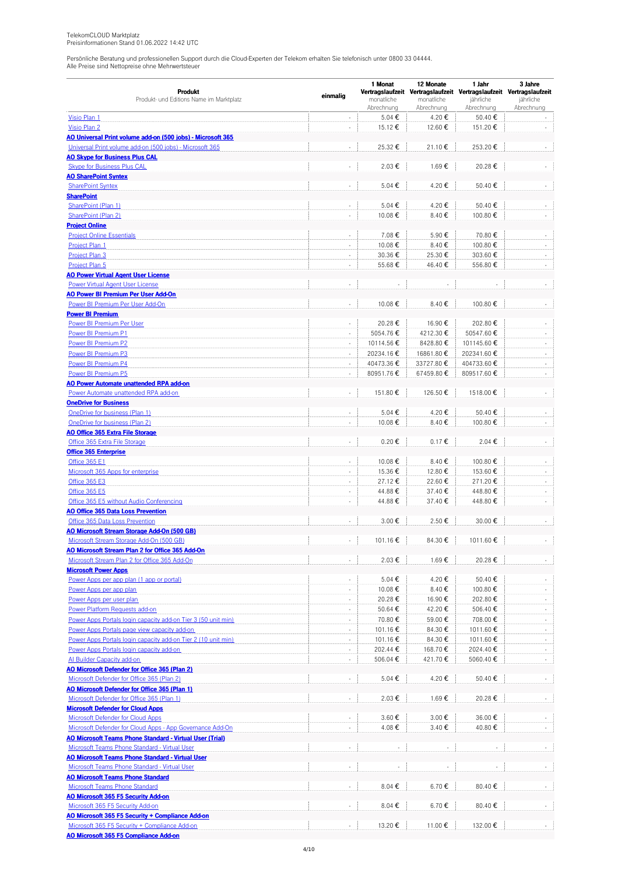|                                                                                                               |                                    | 1 Monat                  | 12 Monate                | 1 Jahr                                                              | 3 Jahre                        |  |
|---------------------------------------------------------------------------------------------------------------|------------------------------------|--------------------------|--------------------------|---------------------------------------------------------------------|--------------------------------|--|
| Produkt                                                                                                       | einmalig                           |                          |                          | Vertragslaufzeit Vertragslaufzeit Vertragslaufzeit Vertragslaufzeit |                                |  |
| Produkt- und Editions Name im Marktplatz                                                                      |                                    | monatliche<br>Abrechnung | monatliche<br>Abrechnung | jährliche<br>Abrechnung                                             | jährliche<br>Abrechnung        |  |
| Visio Plan 1                                                                                                  | $\overline{\phantom{a}}$           | 5.04 €                   | 4.20€                    | 50.40€                                                              |                                |  |
| Visio Plan 2                                                                                                  | ÷,                                 | 15.12€                   | 12.60 €                  | 151.20€                                                             |                                |  |
| AO Universal Print volume add-on (500 jobs) - Microsoft 365                                                   |                                    |                          |                          |                                                                     |                                |  |
| Universal Print volume add-on (500 jobs) - Microsoft 365                                                      | ÷,                                 | 25.32€                   | 21.10€                   | 253.20€                                                             |                                |  |
| <b>AO Skype for Business Plus CAL</b>                                                                         |                                    |                          |                          |                                                                     |                                |  |
| <b>Skype for Business Plus CAL</b>                                                                            | $\bar{a}$                          | 2.03€                    | 1.69€                    | 20.28€                                                              |                                |  |
| <b>AO SharePoint Syntex</b>                                                                                   |                                    |                          |                          |                                                                     |                                |  |
| <b>SharePoint Syntex</b>                                                                                      | ÷,                                 | 5.04 €                   | 4.20€                    | 50.40€                                                              |                                |  |
| <b>SharePoint</b>                                                                                             |                                    |                          |                          |                                                                     |                                |  |
| SharePoint (Plan 1)                                                                                           | $\sim$                             | 5.04€                    | 4.20€                    | 50.40€                                                              |                                |  |
| SharePoint (Plan 2)                                                                                           | ÷,                                 | 10.08€                   | 8.40€                    | 100.80€                                                             | $\overline{\phantom{a}}$       |  |
| <b>Project Online</b>                                                                                         |                                    |                          |                          |                                                                     |                                |  |
| <b>Project Online Essentials</b>                                                                              | $\bar{z}$                          | 7.08€                    | 5.90€                    | 70.80€                                                              |                                |  |
| Project Plan 1                                                                                                | ×,                                 | 10.08€                   | 8.40€                    | 100.80€                                                             |                                |  |
| Project Plan 3                                                                                                | $\overline{\phantom{a}}$           | 30.36€                   | 25.30€                   | 303.60€                                                             | $\overline{\phantom{a}}$       |  |
| Project Plan 5                                                                                                | $\overline{\phantom{a}}$           | 55.68€                   | 46.40€                   | 556.80€                                                             | $\sim$                         |  |
| <b>AO Power Virtual Agent User License</b>                                                                    |                                    |                          |                          |                                                                     |                                |  |
| <b>Power Virtual Agent User License</b>                                                                       |                                    |                          |                          |                                                                     |                                |  |
| <b>AO Power BI Premium Per User Add-On</b>                                                                    |                                    |                          |                          |                                                                     |                                |  |
| Power BI Premium Per User Add-On                                                                              | $\overline{\phantom{a}}$           | 10.08€                   | 8.40€                    | 100.80€                                                             |                                |  |
| <b>Power BI Premium</b>                                                                                       |                                    |                          |                          |                                                                     |                                |  |
| <b>Power BI Premium Per User</b>                                                                              | $\overline{\phantom{a}}$           | 20.28€                   | 16.90€                   | 202.80€                                                             |                                |  |
| Power BI Premium P1                                                                                           | ÷.                                 | 5054.76€                 | 4212.30€                 | 50547.60€                                                           | $\overline{\phantom{a}}$       |  |
| Power BI Premium P2                                                                                           | $\sim$                             | 10114.56€                | 8428.80€                 | 101145.60€                                                          | ÷,                             |  |
| Power BI Premium P3                                                                                           | $\sim$                             | 20234.16€                | 16861.80€                | 202341.60€                                                          | $\overline{\phantom{a}}$       |  |
| Power BI Premium P4                                                                                           | $\overline{\phantom{a}}$           | 40473.36€                | 33727.80€                | 404733.60 €                                                         | ÷.                             |  |
| Power BI Premium P5                                                                                           | ÷,                                 | 80951.76€                | 67459.80€                | 809517.60€                                                          | ÷.                             |  |
| AO Power Automate unattended RPA add-on                                                                       |                                    |                          |                          |                                                                     |                                |  |
| Power Automate unattended RPA add-on                                                                          | $\overline{\phantom{a}}$           | 151.80€                  | 126.50€                  | 1518.00€                                                            |                                |  |
| <b>OneDrive for Business</b>                                                                                  |                                    |                          |                          |                                                                     |                                |  |
| OneDrive for business (Plan 1)                                                                                |                                    | 5.04€                    | 4.20€                    | 50.40€                                                              |                                |  |
| OneDrive for business (Plan 2)                                                                                | $\overline{\phantom{a}}$           | 10.08€                   | 8.40€                    | 100.80€                                                             |                                |  |
| <b>AO Office 365 Extra File Storage</b>                                                                       |                                    |                          |                          |                                                                     |                                |  |
| Office 365 Extra File Storage                                                                                 | ÷,                                 | $0.20 \epsilon$          | $0.17 \mathbf{E}$        | 2.04€                                                               |                                |  |
| <b>Office 365 Enterprise</b>                                                                                  |                                    |                          |                          |                                                                     |                                |  |
| <b>Office 365 E1</b>                                                                                          | $\overline{\phantom{a}}$           | 10.08€                   | 8.40€                    | 100.80€                                                             |                                |  |
| Microsoft 365 Apps for enterprise                                                                             | ×,                                 | 15.36€                   | 12.80€                   | 153.60€                                                             | ÷,                             |  |
| Office 365 E3                                                                                                 | $\mathcal{L}_{\mathcal{A}}$        | 27.12€                   | 22.60€                   | 271.20€                                                             | ÷.                             |  |
| <b>Office 365 E5</b>                                                                                          | $\overline{\phantom{a}}$           | 44.88€                   | 37.40€                   | 448.80€                                                             | $\overline{\phantom{a}}$       |  |
| Office 365 E5 without Audio Conferencing                                                                      | ÷,                                 | 44.88€                   | 37.40€                   | 448.80€                                                             | $\overline{\phantom{a}}$       |  |
| <b>AO Office 365 Data Loss Prevention</b>                                                                     |                                    |                          |                          |                                                                     |                                |  |
| Office 365 Data Loss Prevention                                                                               |                                    | 3.00€                    | 2.50€                    | 30.00€                                                              |                                |  |
| AO Microsoft Stream Storage Add-On (500 GB)                                                                   |                                    |                          |                          |                                                                     |                                |  |
| Microsoft Stream Storage Add-On (500 GB)                                                                      | ÷,                                 | 101.16€                  | 84.30€                   | 1011.60€                                                            |                                |  |
| AO Microsoft Stream Plan 2 for Office 365 Add-On                                                              |                                    |                          |                          |                                                                     |                                |  |
| Microsoft Stream Plan 2 for Office 365 Add-On                                                                 |                                    | 2.03€                    | 1.69€                    | 20.28€                                                              |                                |  |
| <b>Microsoft Power Apps</b>                                                                                   |                                    |                          |                          |                                                                     |                                |  |
| Power Apps per app plan (1 app or portal)                                                                     | $\sim$<br>÷.                       | 5.04 €                   | 4.20€                    | 50.40€                                                              |                                |  |
| Power Apps per app plan<br>Power Apps per user plan                                                           |                                    | 10.08€<br>20.28€         | 8.40€<br>16.90€          | 100.80€<br>202.80€                                                  | $\sim$                         |  |
|                                                                                                               |                                    |                          |                          |                                                                     |                                |  |
| Power Platform Requests add-on                                                                                | $\overline{\phantom{a}}$<br>$\sim$ | 50.64 €<br>70.80€        | 42.20€<br>59.00€         | 506.40€<br>708.00€                                                  | $\overline{\phantom{a}}$<br>÷. |  |
| Power Apps Portals login capacity add-on Tier 3 (50 unit min)                                                 | $\sim$                             |                          |                          |                                                                     | $\sim$                         |  |
| Power Apps Portals page view capacity add-on<br>Power Apps Portals login capacity add-on Tier 2 (10 unit min) | ×,                                 | 101.16€<br>101.16€       | 84.30€<br>84.30€         | 1011.60 €<br>1011.60€                                               | $\sim$                         |  |
| Power Apps Portals login capacity add-on                                                                      | $\mathcal{L}_{\mathcal{A}}$        | 202.44€                  | 168.70€                  | 2024.40€                                                            | ÷.                             |  |
| Al Builder Capacity add-on                                                                                    | $\overline{\phantom{a}}$           | 506.04€                  | 421.70€                  | 5060.40€                                                            | $\sim$                         |  |
| <b>AO Microsoft Defender for Office 365 (Plan 2)</b>                                                          |                                    |                          |                          |                                                                     |                                |  |
| Microsoft Defender for Office 365 (Plan 2)                                                                    | ÷.                                 | 5.04 €                   | 4.20€                    | 50.40€                                                              |                                |  |
| <b>AO Microsoft Defender for Office 365 (Plan 1)</b>                                                          |                                    |                          |                          |                                                                     |                                |  |
| Microsoft Defender for Office 365 (Plan 1)                                                                    | $\overline{\phantom{a}}$           | 2.03€                    | 1.69€                    | 20.28€                                                              |                                |  |
| <b>Microsoft Defender for Cloud Apps</b>                                                                      |                                    |                          |                          |                                                                     |                                |  |
| <b>Microsoft Defender for Cloud Apps</b>                                                                      |                                    | 3.60€                    | 3.00€                    | 36.00€                                                              |                                |  |
| Microsoft Defender for Cloud Apps - App Governance Add-On                                                     | $\overline{\phantom{a}}$           | 4.08€                    | 3.40€                    | 40.80€                                                              |                                |  |
| <b>AO Microsoft Teams Phone Standard - Virtual User (Trial)</b>                                               |                                    |                          |                          |                                                                     |                                |  |
| Microsoft Teams Phone Standard - Virtual User                                                                 | $\overline{\phantom{a}}$           |                          | ×                        |                                                                     |                                |  |
| <b>AO Microsoft Teams Phone Standard - Virtual User</b>                                                       |                                    |                          |                          |                                                                     |                                |  |
| Microsoft Teams Phone Standard - Virtual User                                                                 | $\overline{\phantom{a}}$           |                          |                          |                                                                     |                                |  |
| <b>AO Microsoft Teams Phone Standard</b>                                                                      |                                    |                          |                          |                                                                     |                                |  |
| <b>Microsoft Teams Phone Standard</b>                                                                         | $\bar{\phantom{a}}$                | 8.04€                    | 6.70€                    | 80.40€                                                              |                                |  |
| <b>AO Microsoft 365 F5 Security Add-on</b>                                                                    |                                    |                          |                          |                                                                     |                                |  |
| Microsoft 365 F5 Security Add-on                                                                              |                                    | 8.04€                    | 6.70€                    | 80.40€                                                              |                                |  |
| AO Microsoft 365 F5 Security + Compliance Add-on                                                              |                                    |                          |                          |                                                                     |                                |  |
| Microsoft 365 F5 Security + Compliance Add-on                                                                 | ÷.                                 | 13.20€                   | 11.00 €                  | 132.00€                                                             |                                |  |
| AO Microsoft 365 F5 Compliance Add-on                                                                         |                                    |                          |                          |                                                                     |                                |  |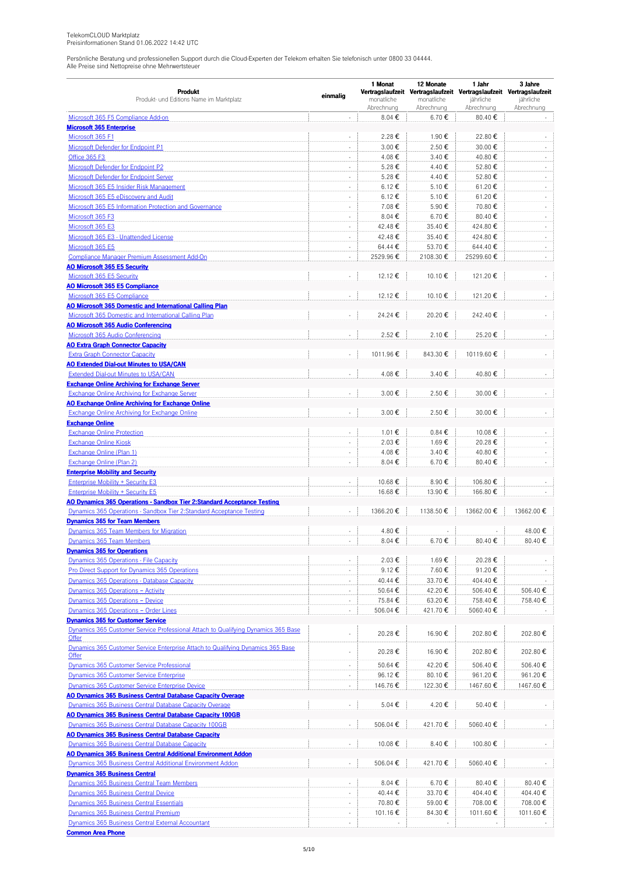|                                                                                                                 |                          | 1 Monat         | 12 Monate       | 1 Jahr                                                                           | 3 Jahre                  |  |
|-----------------------------------------------------------------------------------------------------------------|--------------------------|-----------------|-----------------|----------------------------------------------------------------------------------|--------------------------|--|
| <b>Produkt</b><br>Produkt- und Editions Name im Marktplatz                                                      | einmalig                 | monatliche      | monatliche      | Vertragslaufzeit Vertragslaufzeit Vertragslaufzeit Vertragslaufzeit<br>jährliche | jährliche                |  |
|                                                                                                                 |                          | Abrechnung      | Abrechnung      | Abrechnung                                                                       | Abrechnung               |  |
| Microsoft 365 F5 Compliance Add-on                                                                              |                          | 8.04€           | 6.70€           | 80.40€                                                                           |                          |  |
| <b>Microsoft 365 Enterprise</b>                                                                                 |                          |                 |                 |                                                                                  |                          |  |
| Microsoft 365 F1                                                                                                | ÷,                       | 2.28€           | 1.90€           | 22.80€                                                                           |                          |  |
| Microsoft Defender for Endpoint P1                                                                              | $\sim$                   | 3.00€           | 2.50€           | 30.00€                                                                           | $\sim$                   |  |
| Office 365 F3                                                                                                   | ÷,                       | 4.08€           | 3.40€           | 40.80€                                                                           |                          |  |
| Microsoft Defender for Endpoint P2                                                                              | $\sim$                   | 5.28€           | 4.40€           | 52.80€                                                                           | $\sim$                   |  |
| <b>Microsoft Defender for Endpoint Server</b>                                                                   | $\overline{\phantom{a}}$ | 5.28€           | 4.40€           | 52.80€                                                                           | $\overline{\phantom{a}}$ |  |
| Microsoft 365 E5 Insider Risk Management                                                                        | $\bar{z}$                | 6.12€           | 5.10 €          | 61.20€                                                                           | ÷                        |  |
| Microsoft 365 E5 eDiscovery and Audit                                                                           | $\sim$                   | 6.12€           | 5.10 €          | 61.20€                                                                           | $\sim$                   |  |
| Microsoft 365 E5 Information Protection and Governance                                                          | ÷,                       | 7.08€           | 5.90€           | 70.80€                                                                           |                          |  |
| Microsoft 365 F3                                                                                                | $\sim$                   | 8.04€           | 6.70€           | 80.40€                                                                           | $\sim$                   |  |
| Microsoft 365 E3                                                                                                | $\overline{\phantom{a}}$ | 42.48€          | 35.40€          | 424.80€                                                                          | $\overline{\phantom{a}}$ |  |
| Microsoft 365 E3 - Unattended License                                                                           | $\bar{z}$                | 42.48€          | 35.40€          | 424.80€                                                                          | ÷                        |  |
| Microsoft 365 E5                                                                                                | $\sim$                   | 64.44 €         | 53.70€          | 644.40€                                                                          | $\sim$                   |  |
| Compliance Manager Premium Assessment Add-On                                                                    | ÷,                       | 2529.96€        | 2108.30€        | 25299.60€                                                                        | $\sim$                   |  |
| <b>AO Microsoft 365 E5 Security</b>                                                                             |                          |                 |                 |                                                                                  |                          |  |
| Microsoft 365 E5 Security                                                                                       | ÷,                       | 12.12€          | 10.10€          | 121.20€                                                                          |                          |  |
| <b>AO Microsoft 365 E5 Compliance</b>                                                                           |                          |                 |                 |                                                                                  |                          |  |
| Microsoft 365 E5 Compliance                                                                                     | $\overline{\phantom{a}}$ | 12.12 €         | 10.10€          | 121.20€                                                                          |                          |  |
| <b>AO Microsoft 365 Domestic and International Calling Plan</b>                                                 |                          |                 |                 |                                                                                  |                          |  |
| Microsoft 365 Domestic and International Calling Plan                                                           |                          | 24.24€          | 20.20€          | 242.40€                                                                          |                          |  |
| <b>AO Microsoft 365 Audio Conferencing</b>                                                                      |                          |                 |                 |                                                                                  |                          |  |
| Microsoft 365 Audio Conferencing                                                                                | ÷,                       | 2.52€           | 2.10€           | 25.20€                                                                           |                          |  |
| <b>AO Extra Graph Connector Capacity</b>                                                                        |                          |                 |                 |                                                                                  |                          |  |
| <b>Extra Graph Connector Capacity</b>                                                                           | ÷,                       | 1011.96€        | 843.30€         | 10119.60€                                                                        |                          |  |
| <b>AO Extended Dial-out Minutes to USA/CAN</b>                                                                  |                          |                 |                 |                                                                                  |                          |  |
| Extended Dial-out Minutes to USA/CAN                                                                            | ÷,                       | 4.08€           | 3.40 €          | 40.80€                                                                           |                          |  |
| <b>Exchange Online Archiving for Exchange Server</b>                                                            |                          |                 |                 |                                                                                  |                          |  |
| Exchange Online Archiving for Exchange Server                                                                   | ÷,                       | 3.00€           | 2.50€           | 30.00€                                                                           |                          |  |
| <b>AO Exchange Online Archiving for Exchange Online</b><br><b>Exchange Online Archiving for Exchange Online</b> | ÷,                       | 3.00€           | 2.50€           | 30.00€                                                                           |                          |  |
|                                                                                                                 |                          |                 |                 |                                                                                  |                          |  |
| <b>Exchange Online</b><br><b>Exchange Online Protection</b>                                                     | $\overline{\phantom{a}}$ | 1.01€           | $0.84 \epsilon$ | 10.08€                                                                           |                          |  |
| <b>Exchange Online Kiosk</b>                                                                                    | $\bar{z}$                | 2.03€           | 1.69€           | 20.28€                                                                           | $\sim$                   |  |
| Exchange Online (Plan 1)                                                                                        | $\sim$                   | 4.08€           | 3.40€           | 40.80€                                                                           |                          |  |
| Exchange Online (Plan 2)                                                                                        | ÷,                       | 8.04€           | 6.70€           | 80.40€                                                                           |                          |  |
| <b>Enterprise Mobility and Security</b>                                                                         |                          |                 |                 |                                                                                  |                          |  |
| <b>Enterprise Mobility + Security E3</b>                                                                        |                          | 10.68€          | 8.90€           | 106.80€                                                                          |                          |  |
| Enterprise Mobility + Security E5                                                                               | $\overline{\phantom{a}}$ | 16.68€          | 13.90€          | 166.80€                                                                          |                          |  |
| AO Dynamics 365 Operations - Sandbox Tier 2:Standard Acceptance Testing                                         |                          |                 |                 |                                                                                  |                          |  |
| Dynamics 365 Operations - Sandbox Tier 2: Standard Acceptance Testing                                           |                          | 1366.20€        | 1138.50€        | 13662.00€                                                                        | 13662.00€                |  |
| <b>Dynamics 365 for Team Members</b>                                                                            |                          |                 |                 |                                                                                  |                          |  |
| Dynamics 365 Team Members for Migration                                                                         |                          | 4.80€           |                 |                                                                                  | 48.00€                   |  |
| Dynamics 365 Team Members                                                                                       | $\sim$                   | 8.04€           | 6.70€           | 80.40€                                                                           | 80.40€                   |  |
| <b>Dynamics 365 for Operations</b>                                                                              |                          |                 |                 |                                                                                  |                          |  |
| Dynamics 365 Operations - File Capacity                                                                         | $\overline{\phantom{a}}$ | 2.03€           | 1.69€           | 20.28€                                                                           |                          |  |
| Pro Direct Support for Dynamics 365 Operations                                                                  | $\sim$                   | 9.12€           | 7.60€           | 91.20€                                                                           |                          |  |
| Dynamics 365 Operations - Database Capacity                                                                     | $\overline{\phantom{a}}$ | 40.44€          | 33.70€          | 404.40€                                                                          |                          |  |
| Dynamics 365 Operations - Activity                                                                              | ÷,                       | 50.64 €         | 42.20€          | 506.40€                                                                          | 506.40€                  |  |
| Dynamics 365 Operations - Device                                                                                | $\overline{\phantom{a}}$ | 75.84 €         | 63.20€          | 758.40€                                                                          | 758.40€                  |  |
| Dynamics 365 Operations - Order Lines                                                                           | $\overline{\phantom{a}}$ | 506.04€         | 421.70€         | 5060.40€                                                                         |                          |  |
| <b>Dynamics 365 for Customer Service</b>                                                                        |                          |                 |                 |                                                                                  |                          |  |
| Dynamics 365 Customer Service Professional Attach to Qualifying Dynamics 365 Base                               |                          |                 |                 |                                                                                  |                          |  |
| Offer                                                                                                           |                          | 20.28€          | 16.90€          | 202.80€                                                                          | 202.80€                  |  |
| Dynamics 365 Customer Service Enterprise Attach to Qualifying Dynamics 365 Base                                 | ÷,                       | 20.28€          | 16.90€          | 202.80€                                                                          | 202.80€                  |  |
| Offer                                                                                                           |                          |                 |                 |                                                                                  |                          |  |
| Dynamics 365 Customer Service Professional                                                                      | ÷,                       | 50.64 €         | 42.20€          | 506.40€                                                                          | 506.40€                  |  |
| Dynamics 365 Customer Service Enterprise                                                                        | $\overline{\phantom{a}}$ | 96.12€          | 80.10€          | 961.20€                                                                          | 961.20€                  |  |
| Dynamics 365 Customer Service Enterprise Device                                                                 | $\overline{\phantom{a}}$ | 146.76€         | 122.30€         | 1467.60€                                                                         | 1467.60€                 |  |
| <b>AO Dynamics 365 Business Central Database Capacity Overage</b>                                               |                          |                 |                 |                                                                                  |                          |  |
| Dynamics 365 Business Central Database Capacity Overage                                                         | $\overline{\phantom{a}}$ | 5.04€           | 4.20€           | 50.40€                                                                           |                          |  |
| AO Dynamics 365 Business Central Database Capacity 100GB                                                        |                          |                 |                 |                                                                                  |                          |  |
| Dynamics 365 Business Central Database Capacity 100GB                                                           | ä,                       | 506.04€         | 421.70€         | 5060.40€                                                                         |                          |  |
| <b>AO Dynamics 365 Business Central Database Capacity</b>                                                       |                          |                 |                 |                                                                                  |                          |  |
| <b>Dynamics 365 Business Central Database Capacity</b>                                                          | $\overline{\phantom{a}}$ | 10.08€          | 8.40€           | 100.80€                                                                          |                          |  |
| <b>AO Dynamics 365 Business Central Additional Environment Addon</b>                                            |                          |                 |                 |                                                                                  |                          |  |
| Dynamics 365 Business Central Additional Environment Addon                                                      | ÷,                       | 506.04€         | 421.70€         | 5060.40€                                                                         |                          |  |
| <b>Dynamics 365 Business Central</b><br>Dynamics 365 Business Central Team Members                              |                          | 8.04 $\epsilon$ | 6.70€           | 80.40€                                                                           | 80.40€                   |  |
| Dynamics 365 Business Central Device                                                                            | ÷,                       | 40.44 €         | 33.70€          | 404.40€                                                                          | 404.40 €                 |  |
| <b>Dynamics 365 Business Central Essentials</b>                                                                 | $\overline{\phantom{a}}$ | 70.80€          | 59.00€          | 708.00€                                                                          | 708.00€                  |  |
| Dynamics 365 Business Central Premium                                                                           | ×.                       | 101.16€         | 84.30€          | 1011.60€                                                                         | 1011.60€                 |  |
| <b>Dynamics 365 Business Central External Accountant</b>                                                        | $\overline{\phantom{a}}$ |                 |                 |                                                                                  |                          |  |
| <b>Common Area Phone</b>                                                                                        |                          |                 |                 |                                                                                  |                          |  |
|                                                                                                                 |                          |                 |                 |                                                                                  |                          |  |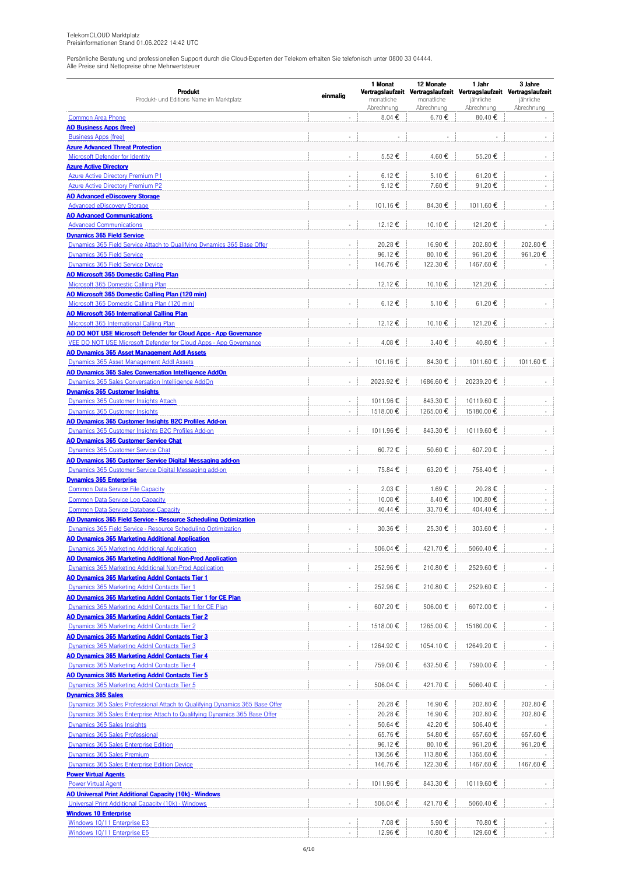|                                                                                                                                                            | einmalig                 | 1 Monat                  | 12 Monate                | 1 Jahr                                                              | 3 Jahre                 |  |
|------------------------------------------------------------------------------------------------------------------------------------------------------------|--------------------------|--------------------------|--------------------------|---------------------------------------------------------------------|-------------------------|--|
| Produkt                                                                                                                                                    |                          |                          |                          | Vertragslaufzeit Vertragslaufzeit Vertragslaufzeit Vertragslaufzeit |                         |  |
| Produkt- und Editions Name im Marktplatz                                                                                                                   |                          | monatliche<br>Abrechnung | monatliche<br>Abrechnung | jährliche<br>Abrechnung                                             | jährliche<br>Abrechnung |  |
| <b>Common Area Phone</b>                                                                                                                                   | L,                       | 8.04 €                   | 6.70€                    | 80.40€                                                              |                         |  |
| <b>AO Business Apps (free)</b>                                                                                                                             |                          |                          |                          |                                                                     |                         |  |
| <b>Business Apps (free)</b>                                                                                                                                | ÷,                       |                          |                          |                                                                     |                         |  |
| <b>Azure Advanced Threat Protection</b>                                                                                                                    |                          |                          |                          |                                                                     |                         |  |
| <b>Microsoft Defender for Identity</b>                                                                                                                     |                          | 5.52€                    | 4.60€                    | 55.20€                                                              |                         |  |
| <b>Azure Active Directory</b>                                                                                                                              |                          |                          |                          |                                                                     |                         |  |
| <b>Azure Active Directory Premium P1</b>                                                                                                                   | ÷,                       | 6.12 €                   | 5.10€                    | 61.20€                                                              |                         |  |
| <b>Azure Active Directory Premium P2</b>                                                                                                                   | ÷,                       | 9.12€                    | 7.60 €                   | 91.20€                                                              |                         |  |
| <b>AO Advanced eDiscovery Storage</b><br><b>Advanced eDiscovery Storage</b>                                                                                | ÷,                       | 101.16€                  | 84.30€                   | 1011.60€                                                            |                         |  |
| <b>AO Advanced Communications</b>                                                                                                                          |                          |                          |                          |                                                                     |                         |  |
| <b>Advanced Communications</b>                                                                                                                             |                          | 12.12€                   | 10.10€                   | 121.20€                                                             |                         |  |
| <b>Dynamics 365 Field Service</b>                                                                                                                          |                          |                          |                          |                                                                     |                         |  |
| Dynamics 365 Field Service Attach to Qualifying Dynamics 365 Base Offer                                                                                    | ÷,                       | 20.28€                   | 16.90€                   | 202.80€                                                             | 202.80€                 |  |
| Dynamics 365 Field Service                                                                                                                                 | ÷,                       | 96.12€                   | 80.10€                   | 961.20€                                                             | 961.20€                 |  |
| Dynamics 365 Field Service Device                                                                                                                          | ä,                       | 146.76€                  | 122.30€                  | 1467.60€                                                            |                         |  |
| <b>AO Microsoft 365 Domestic Calling Plan</b>                                                                                                              |                          |                          |                          |                                                                     |                         |  |
| Microsoft 365 Domestic Calling Plan                                                                                                                        |                          | 12.12 €                  | 10.10€                   | 121.20€                                                             |                         |  |
| AO Microsoft 365 Domestic Calling Plan (120 min)                                                                                                           |                          |                          |                          |                                                                     |                         |  |
| Microsoft 365 Domestic Calling Plan (120 min)                                                                                                              | ÷,                       | 6.12 €                   | 5.10 €                   | 61.20€                                                              |                         |  |
| <b>AO Microsoft 365 International Calling Plan</b>                                                                                                         |                          |                          |                          |                                                                     |                         |  |
| Microsoft 365 International Calling Plan<br>AO DO NOT USE Microsoft Defender for Cloud Apps - App Governance                                               | $\overline{\phantom{a}}$ | 12.12 €                  | 10.10€                   | 121.20€                                                             |                         |  |
| VEE DO NOT USE Microsoft Defender for Cloud Apps - App Governance                                                                                          | ä,                       | 4.08€                    | 3.40€                    | 40.80€                                                              |                         |  |
| <b>AO Dynamics 365 Asset Management Addl Assets</b>                                                                                                        |                          |                          |                          |                                                                     |                         |  |
| Dynamics 365 Asset Management Addl Assets                                                                                                                  | ÷,                       | 101.16€                  | 84.30€                   | 1011.60€                                                            | 1011.60€                |  |
| AO Dynamics 365 Sales Conversation Intelligence AddOn                                                                                                      |                          |                          |                          |                                                                     |                         |  |
| Dynamics 365 Sales Conversation Intelligence AddOn                                                                                                         |                          | 2023.92€                 | 1686.60€                 | 20239.20€                                                           |                         |  |
| <b>Dynamics 365 Customer Insights</b>                                                                                                                      |                          |                          |                          |                                                                     |                         |  |
| Dynamics 365 Customer Insights Attach                                                                                                                      | $\bar{a}$                | 1011.96€                 | 843.30€                  | 10119.60€                                                           |                         |  |
| Dynamics 365 Customer Insights                                                                                                                             | $\sim$                   | 1518.00€                 | 1265.00€                 | 15180.00€                                                           |                         |  |
| AO Dynamics 365 Customer Insights B2C Profiles Add-on                                                                                                      |                          |                          |                          |                                                                     |                         |  |
| Dynamics 365 Customer Insights B2C Profiles Add-on                                                                                                         |                          | 1011.96€                 | 843.30€                  | 10119.60€                                                           |                         |  |
| <b>AO Dynamics 365 Customer Service Chat</b>                                                                                                               |                          |                          |                          |                                                                     |                         |  |
| Dynamics 365 Customer Service Chat<br>AO Dynamics 365 Customer Service Digital Messaging add-on                                                            | ÷,                       | 60.72€                   | 50.60€                   | 607.20€                                                             |                         |  |
| Dynamics 365 Customer Service Digital Messaging add-on                                                                                                     |                          | 75.84€                   | 63.20€                   | 758.40€                                                             |                         |  |
| <b>Dynamics 365 Enterprise</b>                                                                                                                             |                          |                          |                          |                                                                     |                         |  |
| <b>Common Data Service File Capacity</b>                                                                                                                   | ÷.                       | 2.03€                    | 1.69€                    | 20.28€                                                              |                         |  |
| <b>Common Data Service Log Capacity</b>                                                                                                                    |                          | 10.08€                   | 8.40€                    | 100.80€                                                             |                         |  |
| <b>Common Data Service Database Capacity</b>                                                                                                               | $\Box$                   | 40.44 €                  | 33.70€                   | 404.40€                                                             |                         |  |
| AO Dynamics 365 Field Service - Resource Scheduling Optimization                                                                                           |                          |                          |                          |                                                                     |                         |  |
| Dynamics 365 Field Service - Resource Scheduling Optimization                                                                                              |                          | 30.36 €                  | 25.30€                   | 303.60€                                                             |                         |  |
| <b>AO Dynamics 365 Marketing Additional Application</b>                                                                                                    |                          |                          |                          |                                                                     |                         |  |
| Dynamics 365 Marketing Additional Application                                                                                                              | $\overline{\phantom{a}}$ | 506.04 €                 | 421.70€                  | 5060.40€                                                            |                         |  |
| AO Dynamics 365 Marketing Additional Non-Prod Application                                                                                                  |                          |                          |                          |                                                                     |                         |  |
| Dynamics 365 Marketing Additional Non-Prod Application<br>AO Dynamics 365 Marketing Addnl Contacts Tier 1                                                  | $\overline{\phantom{a}}$ | 252.96€                  | 210.80€                  | 2529.60€                                                            |                         |  |
| Dynamics 365 Marketing Addnl Contacts Tier 1                                                                                                               | $\overline{\phantom{a}}$ | 252.96€                  | 210.80€                  | 2529.60€                                                            |                         |  |
| AO Dynamics 365 Marketing Addnl Contacts Tier 1 for CE Plan                                                                                                |                          |                          |                          |                                                                     |                         |  |
| Dynamics 365 Marketing Addnl Contacts Tier 1 for CE Plan                                                                                                   | ÷.                       | 607.20€                  | 506.00€                  | 6072.00€                                                            |                         |  |
| <b>AO Dynamics 365 Marketing Addnl Contacts Tier 2</b>                                                                                                     |                          |                          |                          |                                                                     |                         |  |
| Dynamics 365 Marketing Addnl Contacts Tier 2                                                                                                               | $\Box$                   | 1518.00 €                | 1265.00€                 | 15180.00€                                                           |                         |  |
| AO Dynamics 365 Marketing Addnl Contacts Tier 3                                                                                                            |                          |                          |                          |                                                                     |                         |  |
| Dynamics 365 Marketing Addnl Contacts Tier 3                                                                                                               | $\blacksquare$           | 1264.92€                 | 1054.10€                 | 12649.20€                                                           |                         |  |
| AO Dynamics 365 Marketing Addnl Contacts Tier 4                                                                                                            |                          |                          |                          |                                                                     |                         |  |
| Dynamics 365 Marketing Addnl Contacts Tier 4                                                                                                               | $\blacksquare$           | 759.00€                  | 632.50€                  | 7590.00€                                                            |                         |  |
| AO Dynamics 365 Marketing Addnl Contacts Tier 5                                                                                                            |                          |                          |                          |                                                                     |                         |  |
| Dynamics 365 Marketing Addnl Contacts Tier 5                                                                                                               | $\blacksquare$           | 506.04 €                 | 421.70€                  | 5060.40€                                                            |                         |  |
| <b>Dynamics 365 Sales</b>                                                                                                                                  |                          |                          |                          |                                                                     |                         |  |
| Dynamics 365 Sales Professional Attach to Qualifying Dynamics 365 Base Offer<br>Dynamics 365 Sales Enterprise Attach to Qualifying Dynamics 365 Base Offer | $\sim$                   | 20.28€<br>20.28€         | 16.90€<br>16.90€         | 202.80€                                                             | 202.80€                 |  |
| Dynamics 365 Sales Insights                                                                                                                                | $\Box$                   | 50.64 €                  | 42.20€                   | 202.80€<br>506.40€                                                  | 202.80€                 |  |
| Dynamics 365 Sales Professional                                                                                                                            | $\overline{\phantom{a}}$ | 65.76€                   | 54.80€                   | 657.60€                                                             | 657.60€                 |  |
| Dynamics 365 Sales Enterprise Edition                                                                                                                      | ÷,                       | 96.12€                   | 80.10€                   | 961.20€                                                             | 961.20€                 |  |
| Dynamics 365 Sales Premium                                                                                                                                 | ÷,                       | 136.56€                  | 113.80 €                 | 1365.60€                                                            |                         |  |
| <b>Dynamics 365 Sales Enterprise Edition Device</b>                                                                                                        | ÷,                       | 146.76€                  | 122.30 €                 | 1467.60€                                                            | 1467.60€                |  |
| <b>Power Virtual Agents</b>                                                                                                                                |                          |                          |                          |                                                                     |                         |  |
| <b>Power Virtual Agent</b>                                                                                                                                 | $\overline{\phantom{a}}$ | 1011.96€                 | 843.30 €                 | 10119.60€                                                           |                         |  |
| AO Universal Print Additional Capacity (10k) - Windows                                                                                                     |                          |                          |                          |                                                                     |                         |  |
| Universal Print Additional Capacity (10k) - Windows                                                                                                        | $\overline{\phantom{a}}$ | 506.04 €                 | 421.70€                  | 5060.40€                                                            |                         |  |
| <b>Windows 10 Enterprise</b>                                                                                                                               |                          |                          |                          |                                                                     |                         |  |
| Windows 10/11 Enterprise E3                                                                                                                                |                          | 7.08€                    | 5.90€                    | 70.80€                                                              |                         |  |
| Windows 10/11 Enterprise E5                                                                                                                                |                          | 12.96€                   | 10.80€                   | 129.60€                                                             |                         |  |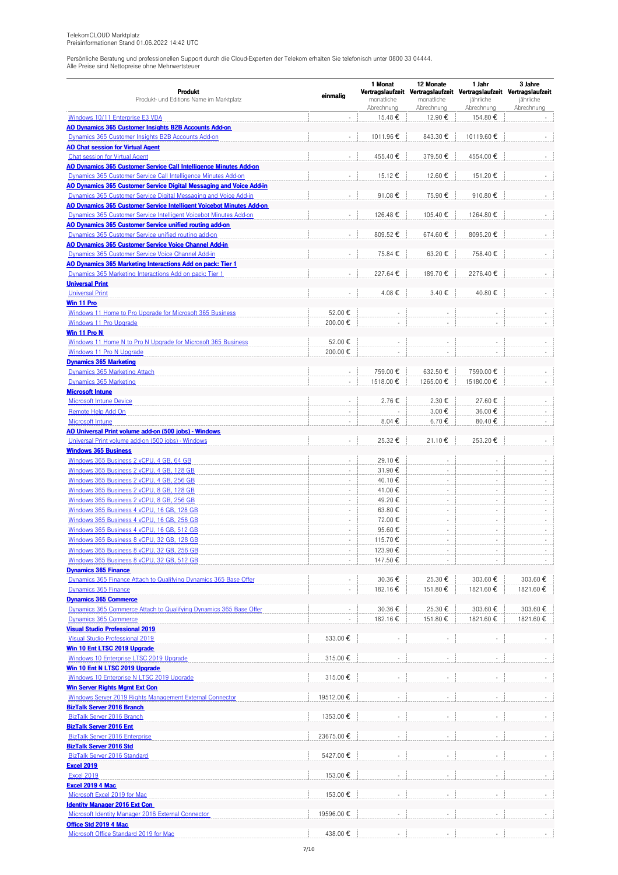|                                                                                                             | einmalig                    | 1 Monat                  | 12 Monate                | 1 Jahr                                                              | 3 Jahre                 |
|-------------------------------------------------------------------------------------------------------------|-----------------------------|--------------------------|--------------------------|---------------------------------------------------------------------|-------------------------|
| <b>Produkt</b>                                                                                              |                             |                          |                          | Vertragslaufzeit Vertragslaufzeit Vertragslaufzeit Vertragslaufzeit |                         |
| Produkt- und Editions Name im Marktplatz                                                                    |                             | monatliche<br>Abrechnung | monatliche<br>Abrechnung | jährliche<br>Abrechnung                                             | jährliche<br>Abrechnung |
| Windows 10/11 Enterprise E3 VDA                                                                             | $\sim$                      | 15.48€                   | 12.90€                   | 154.80€                                                             |                         |
| AO Dynamics 365 Customer Insights B2B Accounts Add-on                                                       |                             |                          |                          |                                                                     |                         |
| Dynamics 365 Customer Insights B2B Accounts Add-on                                                          |                             | 1011.96€                 | 843.30€                  | 10119.60€                                                           |                         |
| <b>AO Chat session for Virtual Agent</b>                                                                    |                             |                          |                          |                                                                     |                         |
| Chat session for Virtual Agent                                                                              | $\mathbf{r}$                | 455.40€                  | 379.50€                  | 4554.00€                                                            |                         |
| AO Dynamics 365 Customer Service Call Intelligence Minutes Add-on                                           |                             |                          |                          |                                                                     |                         |
| Dynamics 365 Customer Service Call Intelligence Minutes Add-on                                              |                             | 15.12€                   | 12.60€                   | 151.20€                                                             |                         |
| AO Dynamics 365 Customer Service Digital Messaging and Voice Add-in                                         |                             |                          |                          |                                                                     |                         |
| Dynamics 365 Customer Service Digital Messaging and Voice Add-in                                            | L.                          | 91.08€                   | 75.90€                   | 910.80€                                                             |                         |
| AO Dynamics 365 Customer Service Intelligent Voicebot Minutes Add-on                                        |                             |                          |                          |                                                                     |                         |
| Dynamics 365 Customer Service Intelligent Voicebot Minutes Add-on                                           | $\mathcal{L}_{\mathcal{A}}$ | 126.48€                  | 105.40€                  | 1264.80€                                                            |                         |
| AO Dynamics 365 Customer Service unified routing add-on                                                     |                             |                          |                          |                                                                     |                         |
| Dynamics 365 Customer Service unified routing add-on                                                        | ÷,                          | 809.52€                  | 674.60€                  | 8095.20€                                                            |                         |
| AO Dynamics 365 Customer Service Voice Channel Add-in                                                       |                             |                          |                          |                                                                     |                         |
| Dynamics 365 Customer Service Voice Channel Add-in                                                          | $\overline{\phantom{a}}$    | 75.84 €                  | 63.20€                   | 758.40€                                                             |                         |
| AO Dynamics 365 Marketing Interactions Add on pack: Tier 1                                                  |                             |                          |                          |                                                                     |                         |
| Dynamics 365 Marketing Interactions Add on pack: Tier 1                                                     | ÷,                          | 227.64€                  | 189.70€                  | 2276.40€                                                            |                         |
| <b>Universal Print</b>                                                                                      |                             |                          |                          |                                                                     |                         |
| <b>Universal Print</b>                                                                                      | L.                          | 4.08€                    | 3.40€                    | 40.80€                                                              |                         |
| Win 11 Pro                                                                                                  |                             |                          |                          |                                                                     |                         |
| Windows 11 Home to Pro Upgrade for Microsoft 365 Business                                                   | 52.00€                      |                          |                          |                                                                     |                         |
| Windows 11 Pro Upgrade                                                                                      | 200.00€                     | ×,                       | ÷.                       | ÷,                                                                  |                         |
| Win 11 Pro N                                                                                                |                             |                          |                          |                                                                     |                         |
| Windows 11 Home N to Pro N Upgrade for Microsoft 365 Business                                               | 52.00€                      |                          | ÷,                       |                                                                     |                         |
| Windows 11 Pro N Upgrade                                                                                    | 200.00€                     |                          |                          | ä,                                                                  |                         |
| <b>Dynamics 365 Marketing</b>                                                                               |                             |                          |                          |                                                                     |                         |
| Dynamics 365 Marketing Attach                                                                               |                             | 759.00€                  | 632.50€                  | 7590.00€                                                            |                         |
| Dynamics 365 Marketing                                                                                      | ÷,                          | 1518.00€                 | 1265.00€                 | 15180.00€                                                           |                         |
| <b>Microsoft Intune</b>                                                                                     | ÷,                          | 2.76€                    | 2.30€                    | 27.60€                                                              |                         |
| <b>Microsoft Intune Device</b>                                                                              | ÷,                          |                          |                          |                                                                     |                         |
| Remote Help Add On                                                                                          |                             | 8.04€                    | 3.00€<br>6.70€           | 36.00€<br>80.40€                                                    |                         |
| Microsoft Intune                                                                                            |                             |                          |                          |                                                                     |                         |
| AO Universal Print volume add-on (500 jobs) - Windows<br>Universal Print volume add-on (500 jobs) - Windows | $\overline{\phantom{a}}$    | 25.32€                   | 21.10€                   | 253.20€                                                             |                         |
| <b>Windows 365 Business</b>                                                                                 |                             |                          |                          |                                                                     |                         |
| Windows 365 Business 2 vCPU, 4 GB, 64 GB                                                                    | $\sim$                      | 29.10€                   | $\overline{\phantom{a}}$ |                                                                     |                         |
| Windows 365 Business 2 vCPU, 4 GB, 128 GB                                                                   | $\overline{a}$              | 31.90€                   | ÷,                       |                                                                     |                         |
| Windows 365 Business 2 vCPU, 4 GB, 256 GB                                                                   | $\bar{z}$                   | 40.10€                   | ÷,                       |                                                                     |                         |
| Windows 365 Business 2 vCPU, 8 GB, 128 GB                                                                   | ×,                          | 41.00€                   | ÷                        | $\sim$                                                              |                         |
| Windows 365 Business 2 vCPU, 8 GB, 256 GB                                                                   | ×,                          | 49.20€                   | $\bar{\phantom{a}}$      | ÷,                                                                  |                         |
| Windows 365 Business 4 vCPU, 16 GB, 128 GB                                                                  | $\mathbf{r}$                | 63.80€                   | $\overline{\phantom{a}}$ | $\sim$                                                              | ÷.                      |
| Windows 365 Business 4 vCPU, 16 GB, 256 GB                                                                  | ÷.                          | 72.00€                   | ÷,                       | ÷.                                                                  |                         |
| Windows 365 Business 4 vCPU, 16 GB, 512 GB                                                                  | ×,                          | 95.60€                   | ÷,                       |                                                                     |                         |
| Windows 365 Business 8 vCPU, 32 GB, 128 GB                                                                  | $\sim$                      | 115.70€                  | ÷,                       |                                                                     |                         |
| Windows 365 Business 8 vCPU, 32 GB, 256 GB                                                                  |                             | 123.90€                  |                          |                                                                     |                         |
| Windows 365 Business 8 vCPU, 32 GB, 512 GB                                                                  | $\overline{\phantom{a}}$    | 147.50€                  |                          |                                                                     |                         |
| <b>Dynamics 365 Finance</b>                                                                                 |                             |                          |                          |                                                                     |                         |
| Dynamics 365 Finance Attach to Qualifying Dynamics 365 Base Offer                                           |                             | 30.36€                   | 25.30€                   | 303.60€                                                             | 303.60€                 |
| Dynamics 365 Finance                                                                                        |                             | 182.16€                  | 151.80€                  | 1821.60€                                                            | 1821.60€                |
| <b>Dynamics 365 Commerce</b>                                                                                |                             |                          |                          |                                                                     |                         |
| Dynamics 365 Commerce Attach to Qualifying Dynamics 365 Base Offer                                          |                             | 30.36€                   | 25.30€                   | 303.60€                                                             | 303.60€                 |
| Dynamics 365 Commerce                                                                                       |                             | 182.16 €                 | 151.80€                  | 1821.60€                                                            | 1821.60€                |
| <b>Visual Studio Professional 2019</b>                                                                      |                             |                          |                          |                                                                     |                         |
| Visual Studio Professional 2019                                                                             | 533.00€                     |                          |                          |                                                                     |                         |
| Win 10 Ent LTSC 2019 Upgrade                                                                                |                             |                          |                          |                                                                     |                         |
| Windows 10 Enterprise LTSC 2019 Upgrade                                                                     | 315.00€                     |                          | ÷,                       |                                                                     |                         |
| Win 10 Ent N LTSC 2019 Upgrade                                                                              |                             |                          |                          |                                                                     |                         |
| Windows 10 Enterprise N LTSC 2019 Upgrade                                                                   | 315.00€                     |                          | ÷                        |                                                                     |                         |
| <b>Win Server Rights Mgmt Ext Con</b>                                                                       |                             |                          |                          |                                                                     |                         |
| Windows Server 2019 Rights Management External Connector                                                    | 19512.00€                   |                          |                          |                                                                     |                         |
| <b>BizTalk Server 2016 Branch</b>                                                                           |                             |                          |                          |                                                                     |                         |
| <b>BizTalk Server 2016 Branch</b>                                                                           | 1353.00€                    |                          |                          |                                                                     |                         |
| <b>BizTalk Server 2016 Ent</b>                                                                              |                             |                          |                          |                                                                     |                         |
| <b>BizTalk Server 2016 Enterprise</b>                                                                       | 23675.00€                   |                          |                          |                                                                     |                         |
| <b>BizTalk Server 2016 Std</b>                                                                              |                             |                          |                          |                                                                     |                         |
| BizTalk Server 2016 Standard                                                                                | 5427.00€                    |                          |                          |                                                                     |                         |
| <b>Excel 2019</b>                                                                                           |                             |                          |                          |                                                                     |                         |
| <b>Excel 2019</b>                                                                                           | 153.00€                     |                          |                          |                                                                     |                         |
| <b>Excel 2019 4 Mac</b>                                                                                     |                             |                          |                          |                                                                     |                         |
| Microsoft Excel 2019 for Mac                                                                                | 153.00€                     |                          |                          |                                                                     |                         |
| <b>Identity Manager 2016 Ext Con</b>                                                                        |                             |                          |                          |                                                                     |                         |
| Microsoft Identity Manager 2016 External Connector                                                          | 19596.00€                   |                          |                          |                                                                     |                         |
| Office Std 2019 4 Mac                                                                                       |                             |                          |                          |                                                                     |                         |
| Microsoft Office Standard 2019 for Mac                                                                      | 438.00€                     |                          |                          |                                                                     |                         |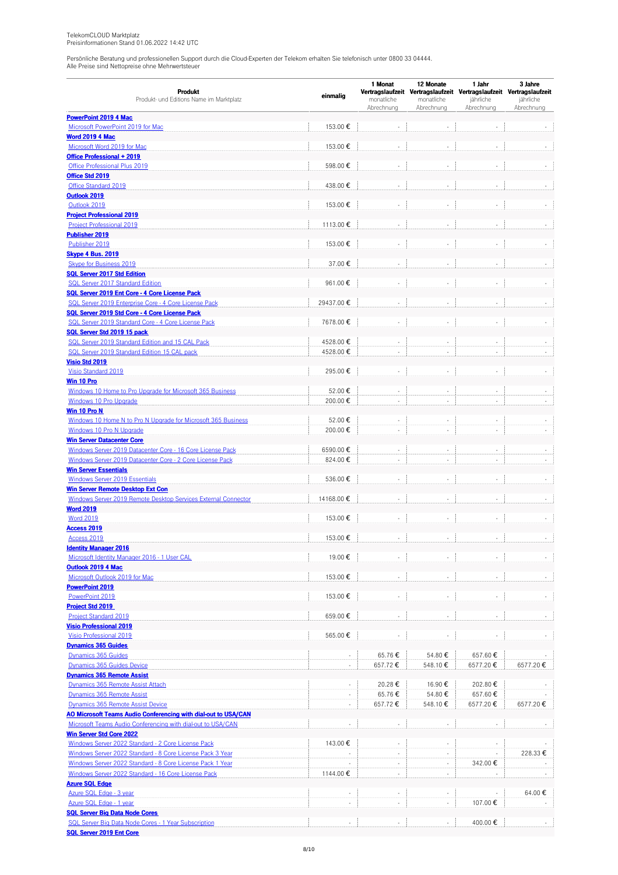|                                                                                                     |                          | 1 Monat<br>12 Monate<br>1 Jahr |                          |                                                                                  | 3 Jahre    |  |
|-----------------------------------------------------------------------------------------------------|--------------------------|--------------------------------|--------------------------|----------------------------------------------------------------------------------|------------|--|
| Produkt<br>Produkt- und Editions Name im Marktplatz                                                 | einmalig                 | monatliche                     | monatliche               | Vertragslaufzeit Vertragslaufzeit Vertragslaufzeit Vertragslaufzeit<br>jährliche | jährliche  |  |
|                                                                                                     |                          | Abrechnung                     | Abrechnung               | Abrechnung                                                                       | Abrechnung |  |
| <b>PowerPoint 2019 4 Mac</b>                                                                        |                          |                                |                          |                                                                                  |            |  |
| Microsoft PowerPoint 2019 for Mac                                                                   | 153.00€                  |                                |                          |                                                                                  |            |  |
| <b>Word 2019 4 Mac</b>                                                                              |                          |                                |                          |                                                                                  |            |  |
| Microsoft Word 2019 for Mac                                                                         | 153.00€                  |                                |                          |                                                                                  |            |  |
| Office Professional + 2019<br>Office Professional Plus 2019                                         | 598.00€                  |                                | ÷,                       | L.                                                                               |            |  |
| Office Std 2019                                                                                     |                          |                                |                          |                                                                                  |            |  |
| Office Standard 2019                                                                                | 438.00€                  |                                | $\overline{\phantom{a}}$ |                                                                                  |            |  |
| Outlook 2019                                                                                        |                          |                                |                          |                                                                                  |            |  |
| Outlook 2019                                                                                        | 153.00€                  |                                | $\sim$                   | ä,                                                                               |            |  |
| <b>Project Professional 2019</b>                                                                    |                          |                                |                          |                                                                                  |            |  |
| <b>Project Professional 2019</b>                                                                    | 1113.00€                 |                                |                          |                                                                                  |            |  |
| <b>Publisher 2019</b>                                                                               |                          |                                |                          |                                                                                  |            |  |
| Publisher 2019<br><b>Skype 4 Bus. 2019</b>                                                          | 153.00€                  |                                |                          |                                                                                  |            |  |
| Skype for Business 2019                                                                             | 37.00€                   |                                | ÷,                       |                                                                                  |            |  |
| <b>SQL Server 2017 Std Edition</b>                                                                  |                          |                                |                          |                                                                                  |            |  |
| <b>SQL Server 2017 Standard Edition</b>                                                             | 961.00€                  |                                |                          |                                                                                  |            |  |
| SQL Server 2019 Ent Core - 4 Core License Pack                                                      |                          |                                |                          |                                                                                  |            |  |
| SQL Server 2019 Enterprise Core - 4 Core License Pack                                               | 29437.00€                |                                | ÷.                       |                                                                                  |            |  |
| SQL Server 2019 Std Core - 4 Core License Pack                                                      |                          |                                |                          |                                                                                  |            |  |
| SQL Server 2019 Standard Core - 4 Core License Pack                                                 | 7678.00€                 |                                | ÷,                       |                                                                                  |            |  |
| SQL Server Std 2019 15 pack<br>SQL Server 2019 Standard Edition and 15 CAL Pack                     | 4528.00€                 |                                |                          |                                                                                  |            |  |
| SQL Server 2019 Standard Edition 15 CAL pack                                                        | 4528.00€                 |                                | ٠<br>÷,                  |                                                                                  |            |  |
| <b>Visio Std 2019</b>                                                                               |                          |                                |                          |                                                                                  |            |  |
| Visio Standard 2019                                                                                 | 295.00€                  |                                |                          |                                                                                  |            |  |
| Win 10 Pro                                                                                          |                          |                                |                          |                                                                                  |            |  |
| Windows 10 Home to Pro Upgrade for Microsoft 365 Business                                           | 52.00€                   |                                |                          |                                                                                  |            |  |
| Windows 10 Pro Upgrade                                                                              | 200.00€                  |                                | ÷.                       |                                                                                  |            |  |
| Win 10 Pro N                                                                                        |                          |                                |                          |                                                                                  |            |  |
| Windows 10 Home N to Pro N Upgrade for Microsoft 365 Business                                       | 52.00€                   |                                |                          |                                                                                  |            |  |
| Windows 10 Pro N Upgrade                                                                            | 200.00€                  |                                | ÷,                       |                                                                                  |            |  |
| <b>Win Server Datacenter Core</b><br>Windows Server 2019 Datacenter Core - 16 Core License Pack     | 6590.00€                 |                                | ÷,                       |                                                                                  |            |  |
| Windows Server 2019 Datacenter Core - 2 Core License Pack                                           | 824.00€                  | ÷,                             | $\overline{\phantom{a}}$ | $\overline{\phantom{a}}$                                                         |            |  |
| <b>Win Server Essentials</b>                                                                        |                          |                                |                          |                                                                                  |            |  |
| <b>Windows Server 2019 Essentials</b>                                                               | 536.00€                  | ÷,                             | $\overline{\phantom{a}}$ | $\overline{\phantom{m}}$                                                         |            |  |
| <b>Win Server Remote Desktop Ext Con</b>                                                            |                          |                                |                          |                                                                                  |            |  |
| Windows Server 2019 Remote Desktop Services External Connector                                      | 14168.00€                |                                |                          |                                                                                  |            |  |
| <b>Word 2019</b>                                                                                    |                          |                                |                          |                                                                                  |            |  |
| <b>Word 2019</b><br><b>Access 2019</b>                                                              | 153.00€                  |                                |                          |                                                                                  |            |  |
| Access 2019                                                                                         | 153.00€                  |                                |                          |                                                                                  |            |  |
| <b>Identity Manager 2016</b>                                                                        |                          |                                |                          |                                                                                  |            |  |
| Microsoft Identity Manager 2016 - 1 User CAL                                                        | 19.00€                   |                                |                          |                                                                                  |            |  |
| Outlook 2019 4 Mac                                                                                  |                          |                                |                          |                                                                                  |            |  |
| Microsoft Outlook 2019 for Mac                                                                      | 153.00€                  |                                |                          |                                                                                  |            |  |
| <b>PowerPoint 2019</b>                                                                              |                          |                                |                          |                                                                                  |            |  |
| PowerPoint 2019                                                                                     | 153.00€                  |                                | $\sim$                   |                                                                                  |            |  |
| <b>Project Std 2019</b><br><b>Project Standard 2019</b>                                             | 659.00€                  |                                | $\overline{\phantom{a}}$ |                                                                                  |            |  |
| <b>Visio Professional 2019</b>                                                                      |                          |                                |                          |                                                                                  |            |  |
| Visio Professional 2019                                                                             | 565.00€                  |                                |                          |                                                                                  |            |  |
| <b>Dynamics 365 Guides</b>                                                                          |                          |                                |                          |                                                                                  |            |  |
| Dynamics 365 Guides                                                                                 |                          | 65.76€                         | 54.80€                   | 657.60€                                                                          |            |  |
| Dynamics 365 Guides Device                                                                          | ÷.                       | 657.72€                        | 548.10€                  | 6577.20€                                                                         | 6577.20€   |  |
| <b>Dynamics 365 Remote Assist</b>                                                                   |                          |                                |                          |                                                                                  |            |  |
| Dynamics 365 Remote Assist Attach                                                                   | $\overline{\phantom{a}}$ | 20.28€                         | 16.90€                   | 202.80€                                                                          |            |  |
| Dynamics 365 Remote Assist                                                                          | ÷.                       | 65.76€                         | 54.80€                   | 657.60€                                                                          |            |  |
| Dynamics 365 Remote Assist Device<br>AO Microsoft Teams Audio Conferencing with dial-out to USA/CAN | $\sim$                   | 657.72€                        | 548.10€                  | 6577.20€                                                                         | 6577.20€   |  |
| Microsoft Teams Audio Conferencing with dial-out to USA/CAN                                         |                          |                                | ÷,                       |                                                                                  |            |  |
| <b>Win Server Std Core 2022</b>                                                                     |                          |                                |                          |                                                                                  |            |  |
| Windows Server 2022 Standard - 2 Core License Pack                                                  | 143.00 €                 |                                | $\overline{\phantom{a}}$ |                                                                                  |            |  |
| Windows Server 2022 Standard - 8 Core License Pack 3 Year                                           |                          | $\sim$                         | $\overline{\phantom{a}}$ |                                                                                  | 228.33€    |  |
| Windows Server 2022 Standard - 8 Core License Pack 1 Year                                           |                          |                                | ÷.                       | 342.00€                                                                          |            |  |
| Windows Server 2022 Standard - 16 Core License Pack                                                 | 1144.00€                 |                                | ÷.                       |                                                                                  |            |  |
| <b>Azure SQL Edge</b>                                                                               |                          |                                |                          |                                                                                  |            |  |
| Azure SQL Edge - 3 year                                                                             |                          |                                |                          |                                                                                  | 64.00€     |  |
| Azure SQL Edge - 1 year<br><b>SQL Server Big Data Node Cores</b>                                    | ×                        | ÷,                             | $\sim$                   | 107.00€                                                                          |            |  |
| SQL Server Big Data Node Cores - 1 Year Subscription                                                |                          |                                | $\sim$                   | 400.00€                                                                          |            |  |
| <b>SQL Server 2019 Ent Core</b>                                                                     |                          |                                |                          |                                                                                  |            |  |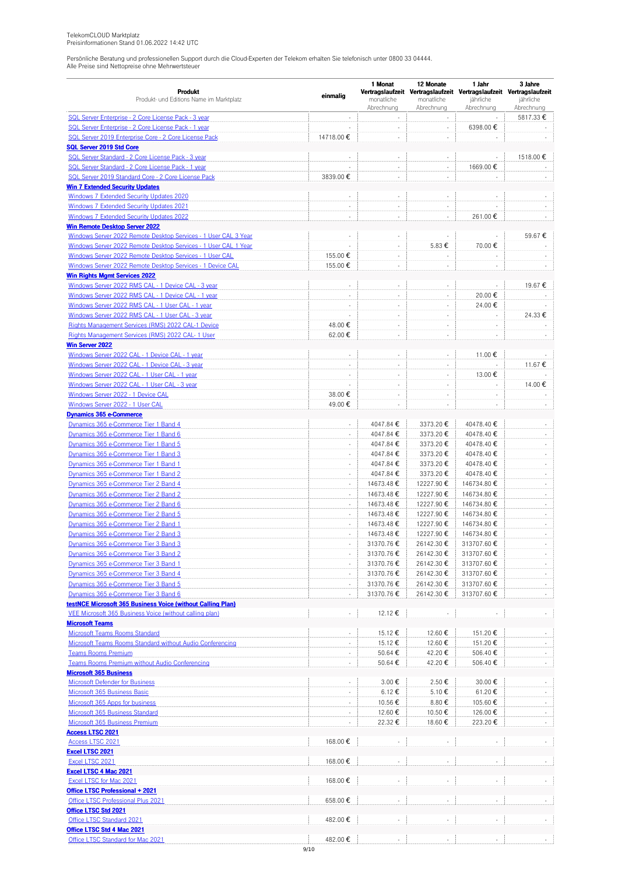|                                                                                             |                          | 1 Monat                  | 12 Monate                | 1 Jahr                                                                           | 3 Jahre                  |
|---------------------------------------------------------------------------------------------|--------------------------|--------------------------|--------------------------|----------------------------------------------------------------------------------|--------------------------|
| Produkt<br>Produkt- und Editions Name im Marktplatz                                         | einmalig                 | monatliche               | monatliche               | Vertragslaufzeit Vertragslaufzeit Vertragslaufzeit Vertragslaufzeit<br>jährliche | jährliche                |
|                                                                                             |                          | Abrechnung               | Abrechnung               | Abrechnung                                                                       | Abrechnung               |
| SQL Server Enterprise - 2 Core License Pack - 3 year                                        |                          |                          | $\bar{\phantom{a}}$      |                                                                                  | 5817.33€                 |
| SQL Server Enterprise - 2 Core License Pack - 1 year                                        |                          | $\overline{\phantom{a}}$ | ×                        | 6398.00€                                                                         |                          |
| SQL Server 2019 Enterprise Core - 2 Core License Pack                                       | 14718.00€                | ÷,                       | ÷,                       |                                                                                  |                          |
| <b>SQL Server 2019 Std Core</b>                                                             |                          |                          |                          |                                                                                  |                          |
| SQL Server Standard - 2 Core License Pack - 3 year                                          |                          |                          | ÷,                       |                                                                                  | 1518.00€                 |
| SQL Server Standard - 2 Core License Pack - 1 year                                          |                          | ÷                        | $\overline{\phantom{a}}$ | 1669.00€                                                                         |                          |
| SQL Server 2019 Standard Core - 2 Core License Pack                                         | 3839.00€                 | ÷,                       | ÷                        |                                                                                  |                          |
| <b>Win 7 Extended Security Updates</b>                                                      |                          | ÷,                       |                          |                                                                                  |                          |
| <b>Windows 7 Extended Security Updates 2020</b><br>Windows 7 Extended Security Updates 2021 |                          |                          | ÷,<br>÷,                 |                                                                                  |                          |
| <b>Windows 7 Extended Security Updates 2022</b>                                             | $\sim$                   | $\sim$                   |                          |                                                                                  |                          |
| <b>Win Remote Desktop Server 2022</b>                                                       |                          |                          | ÷                        | 261.00€                                                                          |                          |
| Windows Server 2022 Remote Desktop Services - 1 User CAL 3 Year                             | ÷,                       | $\overline{\phantom{a}}$ |                          |                                                                                  | 59.67€                   |
| Windows Server 2022 Remote Desktop Services - 1 User CAL 1 Year                             | L.                       | ÷,                       | 5.83 €                   | 70.00€                                                                           |                          |
| Windows Server 2022 Remote Desktop Services - 1 User CAL                                    | 155.00€                  | ÷,                       | ÷,                       |                                                                                  |                          |
| Windows Server 2022 Remote Desktop Services - 1 Device CAL                                  | 155.00€                  | $\sim$                   | ÷,                       |                                                                                  |                          |
| <b>Win Rights Mgmt Services 2022</b>                                                        |                          |                          |                          |                                                                                  |                          |
| Windows Server 2022 RMS CAL - 1 Device CAL - 3 year                                         |                          | ÷,                       |                          |                                                                                  | 19.67€                   |
| Windows Server 2022 RMS CAL - 1 Device CAL - 1 year                                         | ÷,                       | ÷                        | $\overline{\phantom{a}}$ | 20.00€                                                                           |                          |
| Windows Server 2022 RMS CAL - 1 User CAL - 1 year                                           | $\sim$                   | ÷,                       | $\overline{\phantom{a}}$ | 24.00€                                                                           |                          |
| Windows Server 2022 RMS CAL - 1 User CAL - 3 year                                           | ÷,                       |                          | ÷,                       |                                                                                  | 24.33€                   |
| Rights Management Services (RMS) 2022 CAL-1 Device                                          | 48.00€                   | ÷,                       | ÷,                       |                                                                                  |                          |
| Rights Management Services (RMS) 2022 CAL- 1 User                                           | 62.00€                   | ÷                        | ÷                        |                                                                                  |                          |
| <b>Win Server 2022</b>                                                                      |                          |                          |                          |                                                                                  |                          |
| Windows Server 2022 CAL - 1 Device CAL - 1 year                                             | ÷,                       | ÷,                       | $\overline{\phantom{a}}$ | 11.00€                                                                           |                          |
| Windows Server 2022 CAL - 1 Device CAL - 3 year                                             | $\sim$                   | $\sim$                   | ÷,                       |                                                                                  | 11.67€                   |
| Windows Server 2022 CAL - 1 User CAL - 1 year                                               |                          |                          | ÷                        | 13.00€                                                                           |                          |
| Windows Server 2022 CAL - 1 User CAL - 3 year                                               |                          | $\overline{\phantom{a}}$ | ÷                        |                                                                                  | 14.00€                   |
| Windows Server 2022 - 1 Device CAL                                                          | 38.00€                   | ÷,                       | ÷                        | ÷,                                                                               |                          |
| Windows Server 2022 - 1 User CAL                                                            | 49.00€                   | ÷,                       | ÷,                       |                                                                                  |                          |
| <b>Dynamics 365 e-Commerce</b>                                                              |                          |                          |                          |                                                                                  |                          |
| Dynamics 365 e-Commerce Tier 1 Band 4                                                       | ÷,                       | 4047.84€                 | 3373.20€                 | 40478.40€                                                                        |                          |
| Dynamics 365 e-Commerce Tier 1 Band 6                                                       | ÷,                       | 4047.84 €<br>4047.84€    | 3373.20€                 | 40478.40€                                                                        | ÷,<br>÷,                 |
| Dynamics 365 e-Commerce Tier 1 Band 5<br>Dynamics 365 e-Commerce Tier 1 Band 3              | $\overline{\phantom{a}}$ | 4047.84€                 | 3373.20€<br>3373.20€     | 40478.40€<br>40478.40€                                                           | $\overline{\phantom{a}}$ |
| Dynamics 365 e-Commerce Tier 1 Band 1                                                       | ÷,                       | 4047.84 €                | 3373.20€                 | 40478.40€                                                                        | $\overline{\phantom{a}}$ |
| Dynamics 365 e-Commerce Tier 1 Band 2                                                       | ÷,                       | 4047.84 €                | 3373.20€                 | 40478.40€                                                                        | $\overline{\phantom{a}}$ |
| Dynamics 365 e-Commerce Tier 2 Band 4                                                       | ÷,                       | 14673.48€                | 12227.90€                | 146734.80€                                                                       | $\overline{\phantom{a}}$ |
| Dynamics 365 e-Commerce Tier 2 Band 2                                                       | ÷,                       | 14673.48€                | 12227.90€                | 146734.80€                                                                       | ÷                        |
| Dynamics 365 e-Commerce Tier 2 Band 6                                                       | $\overline{\phantom{a}}$ | 14673.48€                | 12227.90€                | 146734.80€                                                                       | ÷,                       |
| Dynamics 365 e-Commerce Tier 2 Band 5                                                       | $\sim$                   | 14673.48 €               | 12227.90€                | 146734.80€                                                                       | $\overline{\phantom{a}}$ |
| Dynamics 365 e-Commerce Tier 2 Band 1                                                       | ÷,                       | 14673.48€                | 12227.90€                | 146734.80€                                                                       | $\overline{\phantom{a}}$ |
| Dynamics 365 e-Commerce Tier 2 Band 3                                                       |                          | 14673.48€                | 12227.90€                | 146734.80€                                                                       |                          |
| Dynamics 365 e-Commerce Tier 3 Band 3                                                       |                          | 31370.76€                | 26142.30€                | 313707.60€                                                                       |                          |
| Dynamics 365 e-Commerce Tier 3 Band 2                                                       | $\overline{\phantom{a}}$ | 31370.76€                | 26142.30€                | 313707.60€                                                                       |                          |
| Dynamics 365 e-Commerce Tier 3 Band 1                                                       |                          | 31370.76€                | 26142.30€                | 313707.60€                                                                       |                          |
| Dynamics 365 e-Commerce Tier 3 Band 4                                                       | $\Box$                   | 31370.76€                | 26142.30€                | 313707.60€                                                                       | ÷.                       |
| Dynamics 365 e-Commerce Tier 3 Band 5                                                       |                          | 31370.76€                | 26142.30€                | 313707.60€                                                                       |                          |
| Dynamics 365 e-Commerce Tier 3 Band 6                                                       | $\overline{\phantom{a}}$ | 31370.76€                | 26142.30€                | 313707.60€                                                                       | $\sim$                   |
| testNCE Microsoft 365 Business Voice (without Calling Plan)                                 |                          |                          |                          |                                                                                  |                          |
| VEE Microsoft 365 Business Voice (without calling plan)                                     | $\Box$                   | 12.12 €                  |                          |                                                                                  | $\sim$                   |
| <b>Microsoft Teams</b>                                                                      |                          |                          |                          |                                                                                  |                          |
| <b>Microsoft Teams Rooms Standard</b>                                                       |                          | 15.12€                   | 12.60 €                  | 151.20€                                                                          |                          |
| Microsoft Teams Rooms Standard without Audio Conferencing                                   | $\Box$                   | 15.12€                   | 12.60 €                  | 151.20€                                                                          | ÷,                       |
| <b>Teams Rooms Premium</b>                                                                  | $\overline{\phantom{a}}$ | 50.64 €                  | 42.20€                   | 506.40€                                                                          |                          |
| Teams Rooms Premium without Audio Conferencing                                              | $\overline{\phantom{a}}$ | 50.64€                   | 42.20€                   | 506.40€                                                                          |                          |
| <b>Microsoft 365 Business</b>                                                               |                          |                          |                          |                                                                                  |                          |
| <b>Microsoft Defender for Business</b>                                                      |                          | 3.00€                    | 2.50€                    | 30.00€                                                                           |                          |
| Microsoft 365 Business Basic                                                                | $\Box$                   | 6.12€                    | 5.10 €                   | 61.20€                                                                           | ÷.                       |
| Microsoft 365 Apps for business<br><b>Microsoft 365 Business Standard</b>                   |                          | 10.56€<br>12.60€         | 8.80€<br>10.50€          | 105.60€<br>126.00€                                                               |                          |
| Microsoft 365 Business Premium                                                              | $\Box$                   | 22.32€                   | 18.60€                   | 223.20€                                                                          |                          |
| <b>Access LTSC 2021</b>                                                                     |                          |                          |                          |                                                                                  |                          |
| <b>Access LTSC 2021</b>                                                                     | 168.00 €                 |                          |                          |                                                                                  |                          |
| <b>Excel LTSC 2021</b>                                                                      |                          |                          |                          |                                                                                  |                          |
| Excel LTSC 2021                                                                             | 168.00€                  |                          |                          |                                                                                  |                          |
| <b>Excel LTSC 4 Mac 2021</b>                                                                |                          |                          |                          |                                                                                  |                          |
| Excel LTSC for Mac 2021                                                                     | 168.00€                  |                          |                          |                                                                                  |                          |
| <b>Office LTSC Professional + 2021</b>                                                      |                          |                          |                          |                                                                                  |                          |
| Office LTSC Professional Plus 2021                                                          | 658.00€                  |                          |                          |                                                                                  |                          |
| Office LTSC Std 2021                                                                        |                          |                          |                          |                                                                                  |                          |
| Office LTSC Standard 2021                                                                   | 482.00€                  |                          |                          |                                                                                  |                          |
| Office LTSC Std 4 Mac 2021                                                                  |                          |                          |                          |                                                                                  |                          |
| Office LTSC Standard for Mac 2021                                                           | 482.00€                  |                          |                          |                                                                                  |                          |